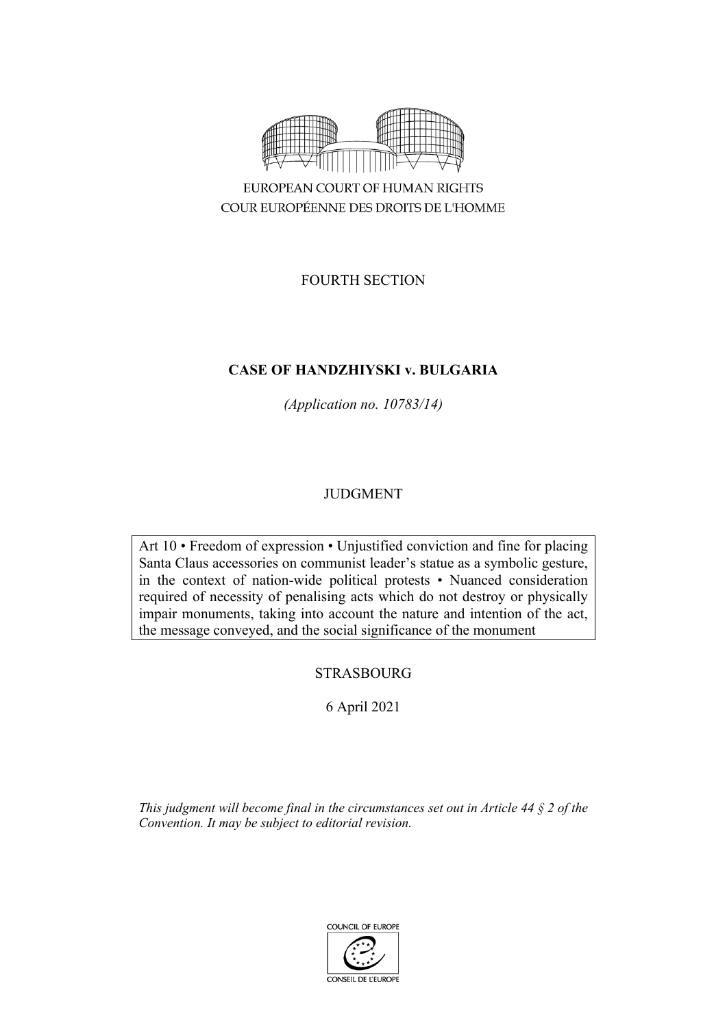

FOURTH SECTION

# **CASE OF HANDZHIYSKI v. BULGARIA**

*(Application no. 10783/14)*

# JUDGMENT

Art 10 • Freedom of expression • Unjustified conviction and fine for placing Santa Claus accessories on communist leader's statue as a symbolic gesture, in the context of nation-wide political protests • Nuanced consideration required of necessity of penalising acts which do not destroy or physically impair monuments, taking into account the nature and intention of the act, the message conveyed, and the social significance of the monument

# STRASBOURG

# 6 April 2021

*This judgment will become final in the circumstances set out in Article 44 § 2 of the Convention. It may be subject to editorial revision.*

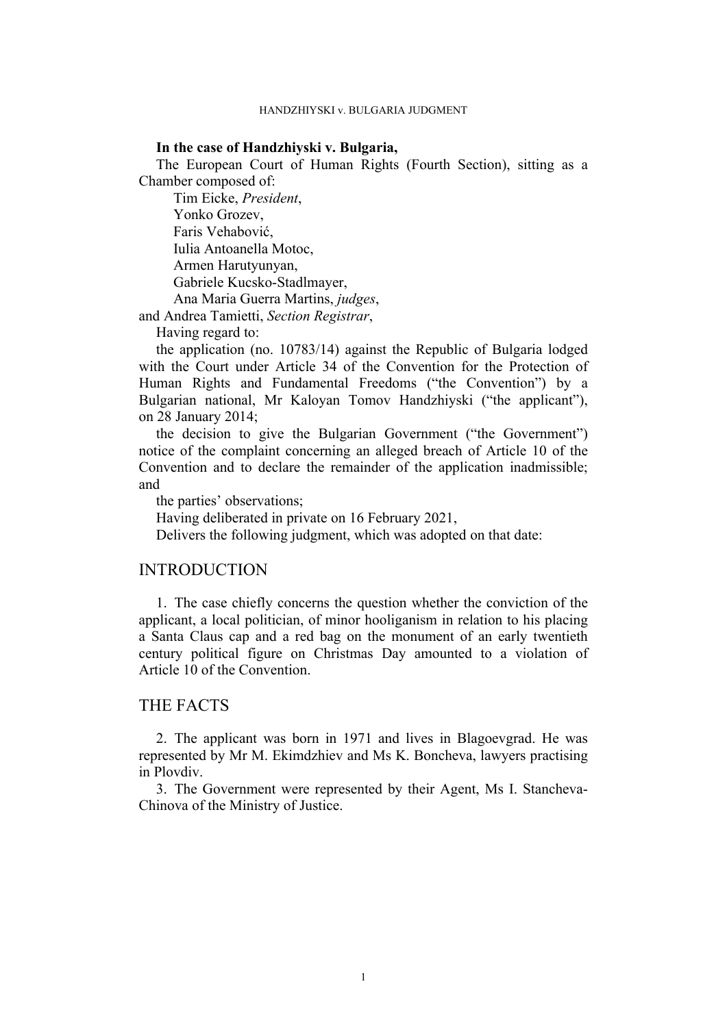## **In the case of Handzhiyski v. Bulgaria,**

The European Court of Human Rights (Fourth Section), sitting as a Chamber composed of:

Tim Eicke, *President*, Yonko Grozev, Faris Vehabović, Iulia Antoanella Motoc, Armen Harutyunyan, Gabriele Kucsko-Stadlmayer, Ana Maria Guerra Martins, *judges*,

and Andrea Tamietti, *Section Registrar*,

Having regard to:

the application (no. 10783/14) against the Republic of Bulgaria lodged with the Court under Article 34 of the Convention for the Protection of Human Rights and Fundamental Freedoms ("the Convention") by a Bulgarian national, Mr Kaloyan Tomov Handzhiyski ("the applicant"), on 28 January 2014;

the decision to give the Bulgarian Government ("the Government") notice of the complaint concerning an alleged breach of Article 10 of the Convention and to declare the remainder of the application inadmissible; and

the parties' observations;

Having deliberated in private on 16 February 2021,

Delivers the following judgment, which was adopted on that date:

# INTRODUCTION

1. The case chiefly concerns the question whether the conviction of the applicant, a local politician, of minor hooliganism in relation to his placing a Santa Claus cap and a red bag on the monument of an early twentieth century political figure on Christmas Day amounted to a violation of Article 10 of the Convention.

# THE FACTS

2. The applicant was born in 1971 and lives in Blagoevgrad. He was represented by Mr M. Ekimdzhiev and Ms K. Boncheva, lawyers practising in Plovdiv.

3. The Government were represented by their Agent, Ms I. Stancheva-Chinova of the Ministry of Justice.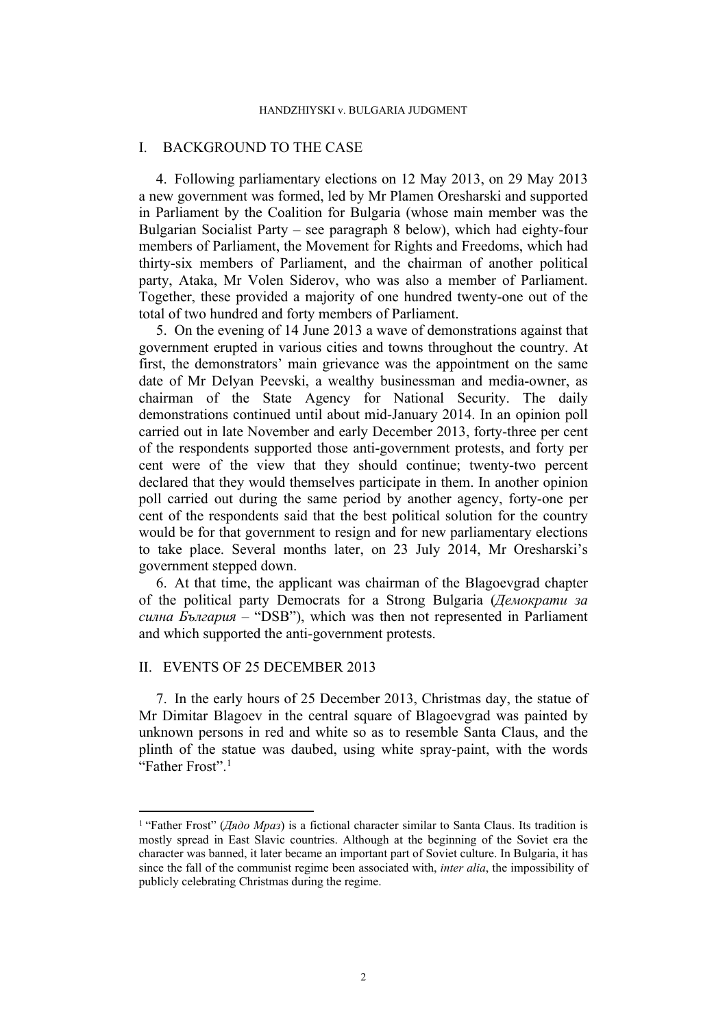## I. BACKGROUND TO THE CASE

<span id="page-3-0"></span>4. Following parliamentary elections on 12 May 2013, on 29 May 2013 a new government was formed, led by Mr Plamen Oresharski and supported in Parliament by the Coalition for Bulgaria (whose main member was the Bulgarian Socialist Party – see paragraph [8](#page-4-0) below), which had eighty-four members of Parliament, the Movement for Rights and Freedoms, which had thirty-six members of Parliament, and the chairman of another political party, Ataka, Mr Volen Siderov, who was also a member of Parliament. Together, these provided a majority of one hundred twenty-one out of the total of two hundred and forty members of Parliament.

5. On the evening of 14 June 2013 a wave of demonstrations against that government erupted in various cities and towns throughout the country. At first, the demonstrators' main grievance was the appointment on the same date of Mr Delyan Peevski, a wealthy businessman and media-owner, as chairman of the State Agency for National Security. The daily demonstrations continued until about mid-January 2014. In an opinion poll carried out in late November and early December 2013, forty-three per cent of the respondents supported those anti-government protests, and forty per cent were of the view that they should continue; twenty-two percent declared that they would themselves participate in them. In another opinion poll carried out during the same period by another agency, forty-one per cent of the respondents said that the best political solution for the country would be for that government to resign and for new parliamentary elections to take place. Several months later, on 23 July 2014, Mr Oresharski's government stepped down.

6. At that time, the applicant was chairman of the Blagoevgrad chapter of the political party Democrats for a Strong Bulgaria (*Демократи за силна България* – "DSB"), which was then not represented in Parliament and which supported the anti-government protests.

# II. EVENTS OF 25 DECEMBER 2013

<span id="page-3-1"></span>7. In the early hours of 25 December 2013, Christmas day, the statue of Mr Dimitar Blagoev in the central square of Blagoevgrad was painted by unknown persons in red and white so as to resemble Santa Claus, and the plinth of the statue was daubed, using white spray-paint, with the words "Father Frost".<sup>1</sup>

<sup>1</sup> "Father Frost" (*Дядо Мраз*) is a fictional character similar to Santa Claus. Its tradition is mostly spread in East Slavic countries. Although at the beginning of the Soviet era the character was banned, it later became an important part of Soviet culture. In Bulgaria, it has since the fall of the communist regime been associated with, *inter alia*, the impossibility of publicly celebrating Christmas during the regime.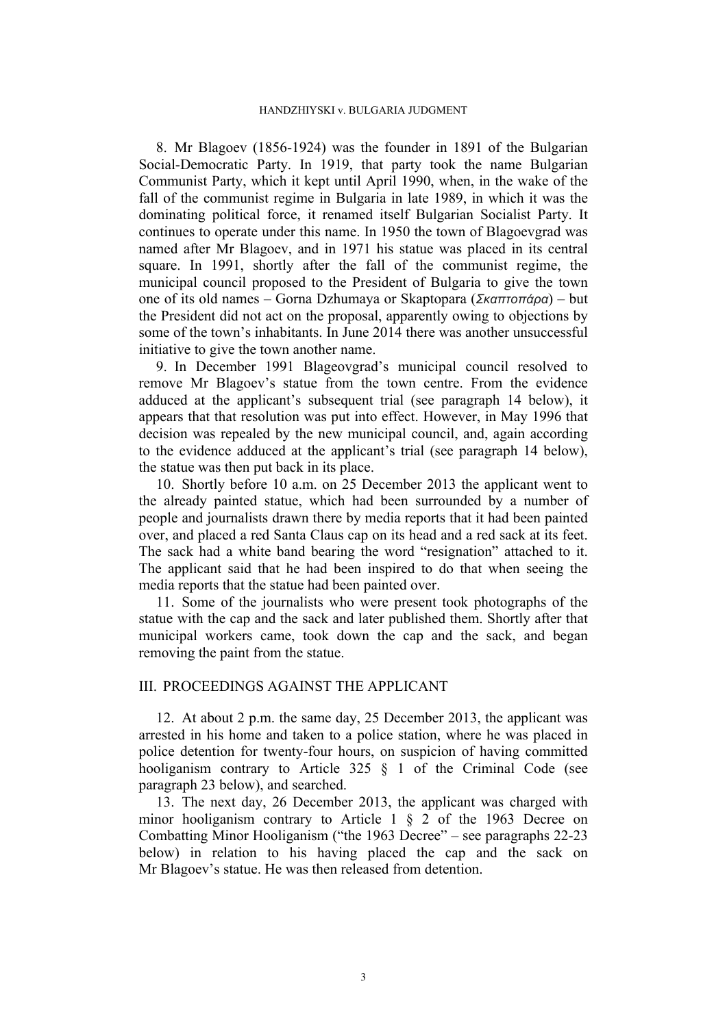<span id="page-4-0"></span>8. Mr Blagoev (1856-1924) was the founder in 1891 of the Bulgarian Social-Democratic Party. In 1919, that party took the name Bulgarian Communist Party, which it kept until April 1990, when, in the wake of the fall of the communist regime in Bulgaria in late 1989, in which it was the dominating political force, it renamed itself Bulgarian Socialist Party. It continues to operate under this name. In 1950 the town of Blagoevgrad was named after Mr Blagoev, and in 1971 his statue was placed in its central square. In 1991, shortly after the fall of the communist regime, the municipal council proposed to the President of Bulgaria to give the town one of its old names – Gorna Dzhumaya or Skaptopara (*Σκαπτοπάρα*) – but the President did not act on the proposal, apparently owing to objections by some of the town's inhabitants. In June 2014 there was another unsuccessful initiative to give the town another name.

<span id="page-4-3"></span>9. In December 1991 Blageovgrad's municipal council resolved to remove Mr Blagoev's statue from the town centre. From the evidence adduced at the applicant's subsequent trial (see paragraph [14](#page-5-0) below), it appears that that resolution was put into effect. However, in May 1996 that decision was repealed by the new municipal council, and, again according to the evidence adduced at the applicant's trial (see paragraph [14](#page-5-0) below), the statue was then put back in its place.

<span id="page-4-2"></span>10. Shortly before 10 a.m. on 25 December 2013 the applicant went to the already painted statue, which had been surrounded by a number of people and journalists drawn there by media reports that it had been painted over, and placed a red Santa Claus cap on its head and a red sack at its feet. The sack had a white band bearing the word "resignation" attached to it. The applicant said that he had been inspired to do that when seeing the media reports that the statue had been painted over.

<span id="page-4-1"></span>11. Some of the journalists who were present took photographs of the statue with the cap and the sack and later published them. Shortly after that municipal workers came, took down the cap and the sack, and began removing the paint from the statue.

# III. PROCEEDINGS AGAINST THE APPLICANT

12. At about 2 p.m. the same day, 25 December 2013, the applicant was arrested in his home and taken to a police station, where he was placed in police detention for twenty-four hours, on suspicion of having committed hooliganism contrary to Article 325 § 1 of the Criminal Code (see paragraph [23](#page-6-0) below), and searched.

13. The next day, 26 December 2013, the applicant was charged with minor hooliganism contrary to Article 1 § 2 of the 1963 Decree on Combatting Minor Hooliganism ("the 1963 Decree" – see paragraphs [22-](#page-6-1)[23](#page-6-0) below) in relation to his having placed the cap and the sack on Mr Blagoev's statue. He was then released from detention.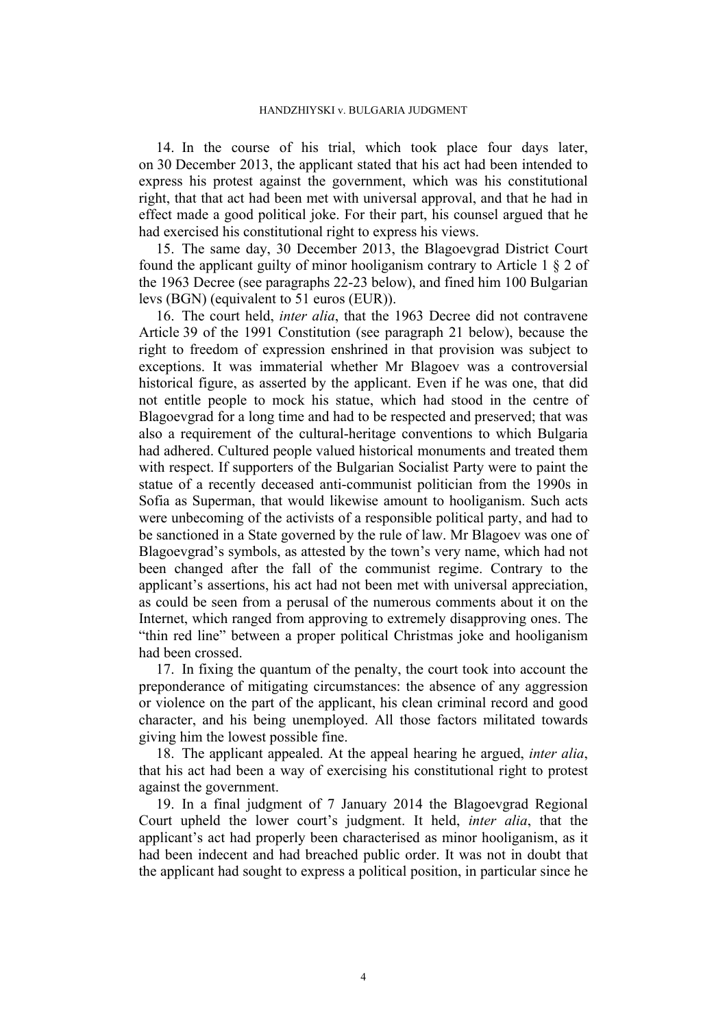<span id="page-5-0"></span>14. In the course of his trial, which took place four days later, on 30 December 2013, the applicant stated that his act had been intended to express his protest against the government, which was his constitutional right, that that act had been met with universal approval, and that he had in effect made a good political joke. For their part, his counsel argued that he had exercised his constitutional right to express his views.

<span id="page-5-1"></span>15. The same day, 30 December 2013, the Blagoevgrad District Court found the applicant guilty of minor hooliganism contrary to Article 1 § 2 of the 1963 Decree (see paragraphs [22](#page-6-1)[-23](#page-6-0) below), and fined him 100 Bulgarian levs (BGN) (equivalent to 51 euros (EUR)).

<span id="page-5-4"></span>16. The court held, *inter alia*, that the 1963 Decree did not contravene Article 39 of the 1991 Constitution (see paragraph [21](#page-6-2) below), because the right to freedom of expression enshrined in that provision was subject to exceptions. It was immaterial whether Mr Blagoev was a controversial historical figure, as asserted by the applicant. Even if he was one, that did not entitle people to mock his statue, which had stood in the centre of Blagoevgrad for a long time and had to be respected and preserved; that was also a requirement of the cultural-heritage conventions to which Bulgaria had adhered. Cultured people valued historical monuments and treated them with respect. If supporters of the Bulgarian Socialist Party were to paint the statue of a recently deceased anti-communist politician from the 1990s in Sofia as Superman, that would likewise amount to hooliganism. Such acts were unbecoming of the activists of a responsible political party, and had to be sanctioned in a State governed by the rule of law. Mr Blagoev was one of Blagoevgrad's symbols, as attested by the town's very name, which had not been changed after the fall of the communist regime. Contrary to the applicant's assertions, his act had not been met with universal appreciation, as could be seen from a perusal of the numerous comments about it on the Internet, which ranged from approving to extremely disapproving ones. The "thin red line" between a proper political Christmas joke and hooliganism had been crossed.

<span id="page-5-2"></span>17. In fixing the quantum of the penalty, the court took into account the preponderance of mitigating circumstances: the absence of any aggression or violence on the part of the applicant, his clean criminal record and good character, and his being unemployed. All those factors militated towards giving him the lowest possible fine.

18. The applicant appealed. At the appeal hearing he argued, *inter alia*, that his act had been a way of exercising his constitutional right to protest against the government.

<span id="page-5-3"></span>19. In a final judgment of 7 January 2014 the Blagoevgrad Regional Court upheld the lower court's judgment. It held, *inter alia*, that the applicant's act had properly been characterised as minor hooliganism, as it had been indecent and had breached public order. It was not in doubt that the applicant had sought to express a political position, in particular since he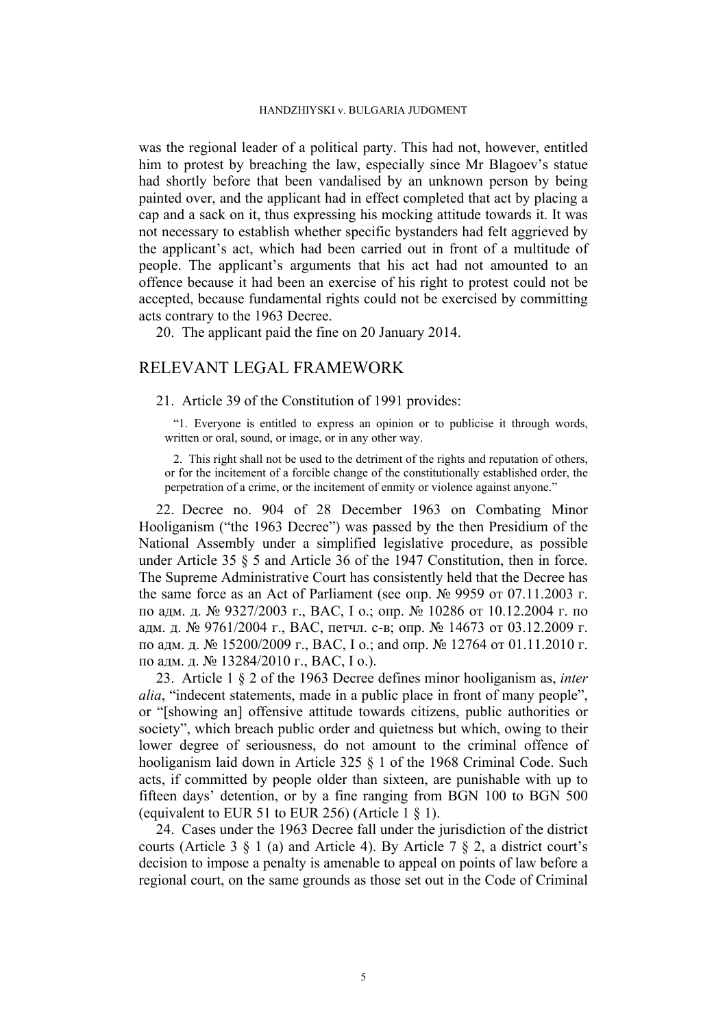was the regional leader of a political party. This had not, however, entitled him to protest by breaching the law, especially since Mr Blagoev's statue had shortly before that been vandalised by an unknown person by being painted over, and the applicant had in effect completed that act by placing a cap and a sack on it, thus expressing his mocking attitude towards it. It was not necessary to establish whether specific bystanders had felt aggrieved by the applicant's act, which had been carried out in front of a multitude of people. The applicant's arguments that his act had not amounted to an offence because it had been an exercise of his right to protest could not be accepted, because fundamental rights could not be exercised by committing acts contrary to the 1963 Decree.

<span id="page-6-3"></span>20. The applicant paid the fine on 20 January 2014.

# RELEVANT LEGAL FRAMEWORK

### <span id="page-6-2"></span>21. Article 39 of the Constitution of 1991 provides:

"1. Everyone is entitled to express an opinion or to publicise it through words, written or oral, sound, or image, or in any other way.

2. This right shall not be used to the detriment of the rights and reputation of others, or for the incitement of a forcible change of the constitutionally established order, the perpetration of a crime, or the incitement of enmity or violence against anyone."

<span id="page-6-1"></span>22. Decree no. 904 of 28 December 1963 on Combating Minor Hooliganism ("the 1963 Decree") was passed by the then Presidium of the National Assembly under a simplified legislative procedure, as possible under Article 35 § 5 and Article 36 of the 1947 Constitution, then in force. The Supreme Administrative Court has consistently held that the Decree has the same force as an Act of Parliament (see опр. № 9959 от 07.11.2003 г. по адм. д. № 9327/2003 г., ВАС, I о.; опр. № 10286 от 10.12.2004 г. по адм. д. № 9761/2004 г., ВАС, петчл. с-в; опр. № 14673 от 03.12.2009 г. по адм. д. № 15200/2009 г., ВАС, I о.; and опр. № 12764 от 01.11.2010 г. по адм. д. № 13284/2010 г., ВАС, I о.).

<span id="page-6-0"></span>23. Article 1 § 2 of the 1963 Decree defines minor hooliganism as, *inter alia*, "indecent statements, made in a public place in front of many people", or "[showing an] offensive attitude towards citizens, public authorities or society", which breach public order and quietness but which, owing to their lower degree of seriousness, do not amount to the criminal offence of hooliganism laid down in Article 325 § 1 of the 1968 Criminal Code. Such acts, if committed by people older than sixteen, are punishable with up to fifteen days' detention, or by a fine ranging from BGN 100 to BGN 500 (equivalent to EUR 51 to EUR 256) (Article  $1 \, \text{\&} 1$ ).

24. Cases under the 1963 Decree fall under the jurisdiction of the district courts (Article 3  $\S$  1 (a) and Article 4). By Article 7  $\S$  2, a district court's decision to impose a penalty is amenable to appeal on points of law before a regional court, on the same grounds as those set out in the Code of Criminal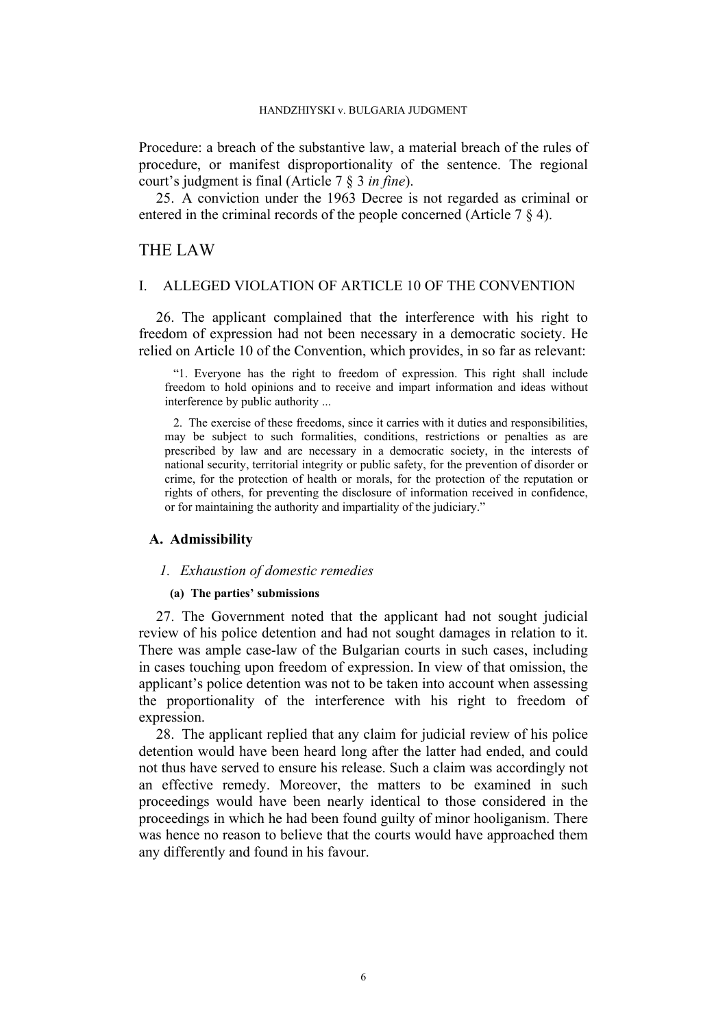Procedure: a breach of the substantive law, a material breach of the rules of procedure, or manifest disproportionality of the sentence. The regional court's judgment is final (Article 7 § 3 *in fine*).

<span id="page-7-0"></span>25. A conviction under the 1963 Decree is not regarded as criminal or entered in the criminal records of the people concerned (Article 7 § 4).

# THE LAW

## I. ALLEGED VIOLATION OF ARTICLE 10 OF THE CONVENTION

26. The applicant complained that the interference with his right to freedom of expression had not been necessary in a democratic society. He relied on Article 10 of the Convention, which provides, in so far as relevant:

"1. Everyone has the right to freedom of expression. This right shall include freedom to hold opinions and to receive and impart information and ideas without interference by public authority ...

2. The exercise of these freedoms, since it carries with it duties and responsibilities, may be subject to such formalities, conditions, restrictions or penalties as are prescribed by law and are necessary in a democratic society, in the interests of national security, territorial integrity or public safety, for the prevention of disorder or crime, for the protection of health or morals, for the protection of the reputation or rights of others, for preventing the disclosure of information received in confidence, or for maintaining the authority and impartiality of the judiciary."

# **A. Admissibility**

### *1. Exhaustion of domestic remedies*

## **(a) The parties' submissions**

27. The Government noted that the applicant had not sought judicial review of his police detention and had not sought damages in relation to it. There was ample case-law of the Bulgarian courts in such cases, including in cases touching upon freedom of expression. In view of that omission, the applicant's police detention was not to be taken into account when assessing the proportionality of the interference with his right to freedom of expression.

28. The applicant replied that any claim for judicial review of his police detention would have been heard long after the latter had ended, and could not thus have served to ensure his release. Such a claim was accordingly not an effective remedy. Moreover, the matters to be examined in such proceedings would have been nearly identical to those considered in the proceedings in which he had been found guilty of minor hooliganism. There was hence no reason to believe that the courts would have approached them any differently and found in his favour.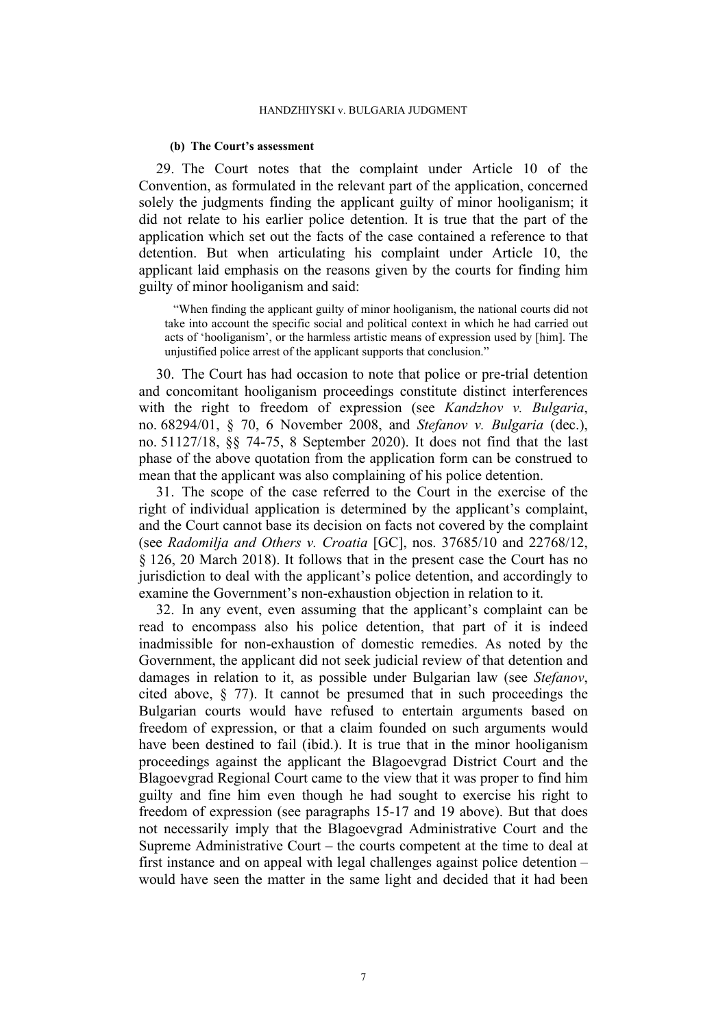#### **(b) The Court's assessment**

<span id="page-8-0"></span>29. The Court notes that the complaint under Article 10 of the Convention, as formulated in the relevant part of the application, concerned solely the judgments finding the applicant guilty of minor hooliganism; it did not relate to his earlier police detention. It is true that the part of the application which set out the facts of the case contained a reference to that detention. But when articulating his complaint under Article 10, the applicant laid emphasis on the reasons given by the courts for finding him guilty of minor hooliganism and said:

"When finding the applicant guilty of minor hooliganism, the national courts did not take into account the specific social and political context in which he had carried out acts of 'hooliganism', or the harmless artistic means of expression used by [him]. The unjustified police arrest of the applicant supports that conclusion."

30. The Court has had occasion to note that police or pre-trial detention and concomitant hooliganism proceedings constitute distinct interferences with the right to freedom of expression (see *Kandzhov v. Bulgaria*, no. 68294/01, § 70, 6 November 2008, and *Stefanov v. Bulgaria* (dec.), no. 51127/18, §§ 74-75, 8 September 2020). It does not find that the last phase of the above quotation from the application form can be construed to mean that the applicant was also complaining of his police detention.

31. The scope of the case referred to the Court in the exercise of the right of individual application is determined by the applicant's complaint, and the Court cannot base its decision on facts not covered by the complaint (see *Radomilja and Others v. Croatia* [GC], nos. 37685/10 and 22768/12, § 126, 20 March 2018). It follows that in the present case the Court has no jurisdiction to deal with the applicant's police detention, and accordingly to examine the Government's non-exhaustion objection in relation to it.

<span id="page-8-1"></span>32. In any event, even assuming that the applicant's complaint can be read to encompass also his police detention, that part of it is indeed inadmissible for non-exhaustion of domestic remedies. As noted by the Government, the applicant did not seek judicial review of that detention and damages in relation to it, as possible under Bulgarian law (see *Stefanov*, cited above, § 77). It cannot be presumed that in such proceedings the Bulgarian courts would have refused to entertain arguments based on freedom of expression, or that a claim founded on such arguments would have been destined to fail (ibid.). It is true that in the minor hooliganism proceedings against the applicant the Blagoevgrad District Court and the Blagoevgrad Regional Court came to the view that it was proper to find him guilty and fine him even though he had sought to exercise his right to freedom of expression (see paragraphs [15](#page-5-1)[-17](#page-5-2) and [19](#page-5-3) above). But that does not necessarily imply that the Blagoevgrad Administrative Court and the Supreme Administrative Court – the courts competent at the time to deal at first instance and on appeal with legal challenges against police detention – would have seen the matter in the same light and decided that it had been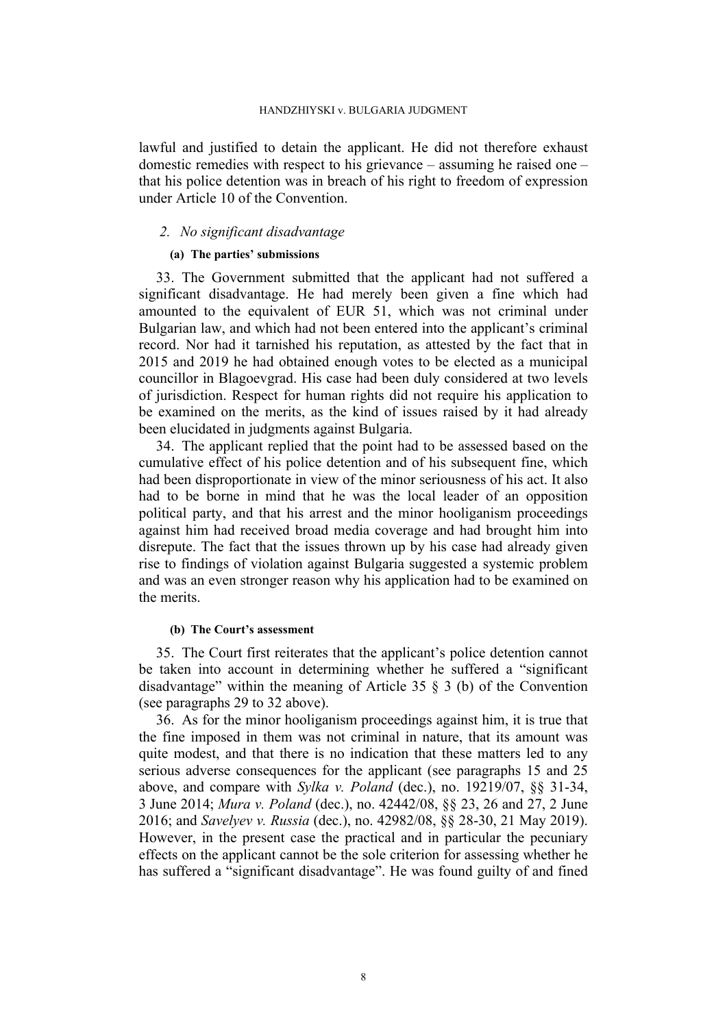lawful and justified to detain the applicant. He did not therefore exhaust domestic remedies with respect to his grievance – assuming he raised one – that his police detention was in breach of his right to freedom of expression under Article 10 of the Convention.

## *2. No significant disadvantage*

### **(a) The parties' submissions**

33. The Government submitted that the applicant had not suffered a significant disadvantage. He had merely been given a fine which had amounted to the equivalent of EUR 51, which was not criminal under Bulgarian law, and which had not been entered into the applicant's criminal record. Nor had it tarnished his reputation, as attested by the fact that in 2015 and 2019 he had obtained enough votes to be elected as a municipal councillor in Blagoevgrad. His case had been duly considered at two levels of jurisdiction. Respect for human rights did not require his application to be examined on the merits, as the kind of issues raised by it had already been elucidated in judgments against Bulgaria.

34. The applicant replied that the point had to be assessed based on the cumulative effect of his police detention and of his subsequent fine, which had been disproportionate in view of the minor seriousness of his act. It also had to be borne in mind that he was the local leader of an opposition political party, and that his arrest and the minor hooliganism proceedings against him had received broad media coverage and had brought him into disrepute. The fact that the issues thrown up by his case had already given rise to findings of violation against Bulgaria suggested a systemic problem and was an even stronger reason why his application had to be examined on the merits.

#### **(b) The Court's assessment**

35. The Court first reiterates that the applicant's police detention cannot be taken into account in determining whether he suffered a "significant disadvantage" within the meaning of Article 35 § 3 (b) of the Convention (see paragraphs [29](#page-8-0) to [32](#page-8-1) above).

36. As for the minor hooliganism proceedings against him, it is true that the fine imposed in them was not criminal in nature, that its amount was quite modest, and that there is no indication that these matters led to any serious adverse consequences for the applicant (see paragraphs [15](#page-5-1) and [25](#page-7-0) above, and compare with *Sylka v. Poland* (dec.), no. 19219/07, §§ 31-34, 3 June 2014; *Mura v. Poland* (dec.), no. 42442/08, §§ 23, 26 and 27, 2 June 2016; and *Savelyev v. Russia* (dec.), no. 42982/08, §§ 28-30, 21 May 2019). However, in the present case the practical and in particular the pecuniary effects on the applicant cannot be the sole criterion for assessing whether he has suffered a "significant disadvantage". He was found guilty of and fined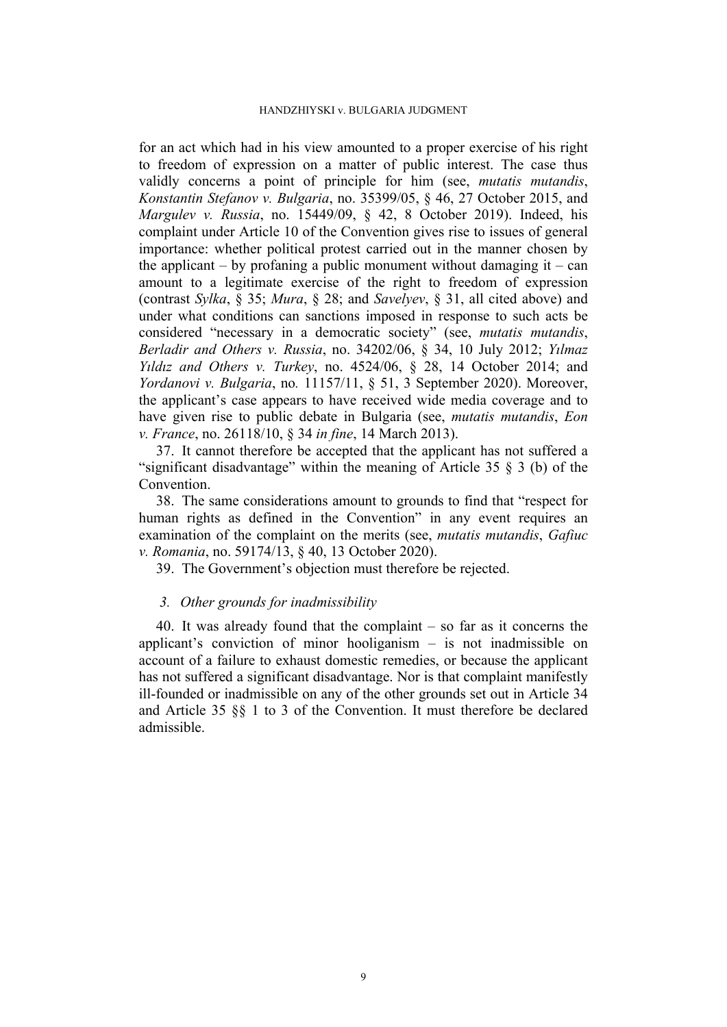for an act which had in his view amounted to a proper exercise of his right to freedom of expression on a matter of public interest. The case thus validly concerns a point of principle for him (see, *mutatis mutandis*, *Konstantin Stefanov v. Bulgaria*, no. 35399/05, § 46, 27 October 2015, and *Margulev v. Russia*, no. 15449/09, § 42, 8 October 2019). Indeed, his complaint under Article 10 of the Convention gives rise to issues of general importance: whether political protest carried out in the manner chosen by the applicant – by profaning a public monument without damaging  $it - can$ amount to a legitimate exercise of the right to freedom of expression (contrast *Sylka*, § 35; *Mura*, § 28; and *Savelyev*, § 31, all cited above) and under what conditions can sanctions imposed in response to such acts be considered "necessary in a democratic society" (see, *mutatis mutandis*, *Berladir and Others v. Russia*, no. 34202/06, § 34, 10 July 2012; *Yılmaz Yıldız and Others v. Turkey*, no. 4524/06, § 28, 14 October 2014; and *Yordanovi v. Bulgaria*, no*.* 11157/11, § 51, 3 September 2020). Moreover, the applicant's case appears to have received wide media coverage and to have given rise to public debate in Bulgaria (see, *mutatis mutandis*, *Eon v. France*, no. 26118/10, § 34 *in fine*, 14 March 2013).

37. It cannot therefore be accepted that the applicant has not suffered a "significant disadvantage" within the meaning of Article 35 § 3 (b) of the Convention.

38. The same considerations amount to grounds to find that "respect for human rights as defined in the Convention" in any event requires an examination of the complaint on the merits (see, *mutatis mutandis*, *Gafiuc v. Romania*, no. 59174/13, § 40, 13 October 2020).

39. The Government's objection must therefore be rejected.

### *3. Other grounds for inadmissibility*

40. It was already found that the complaint – so far as it concerns the applicant's conviction of minor hooliganism – is not inadmissible on account of a failure to exhaust domestic remedies, or because the applicant has not suffered a significant disadvantage. Nor is that complaint manifestly ill-founded or inadmissible on any of the other grounds set out in Article 34 and Article 35 §§ 1 to 3 of the Convention. It must therefore be declared admissible.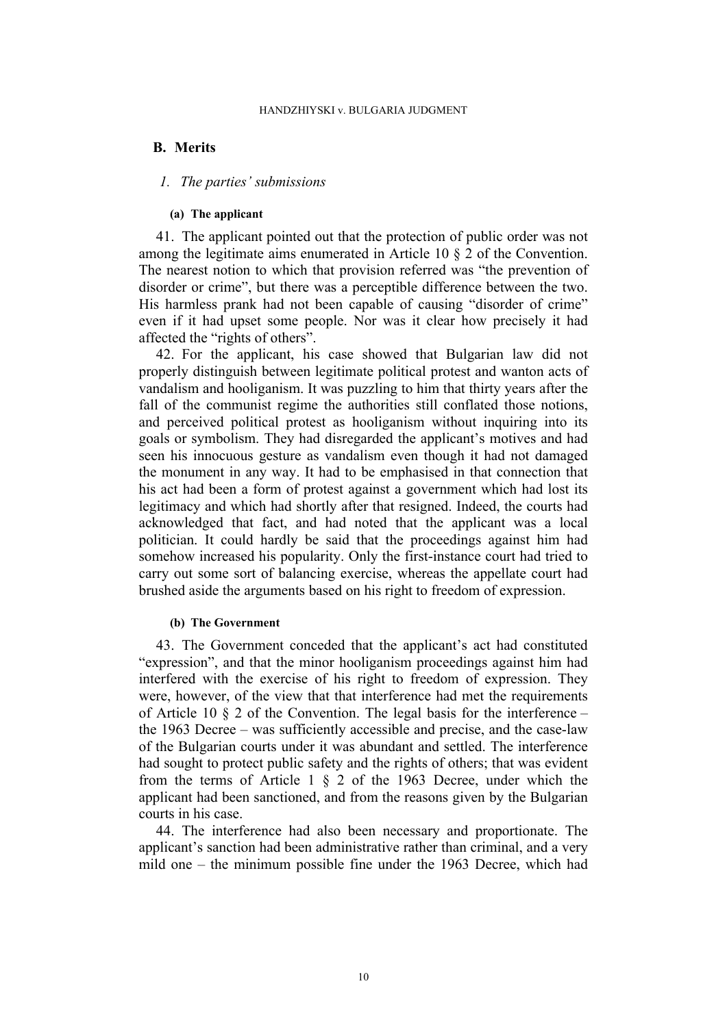# **B. Merits**

# *1. The parties' submissions*

### **(a) The applicant**

41. The applicant pointed out that the protection of public order was not among the legitimate aims enumerated in Article 10 § 2 of the Convention. The nearest notion to which that provision referred was "the prevention of disorder or crime", but there was a perceptible difference between the two. His harmless prank had not been capable of causing "disorder of crime" even if it had upset some people. Nor was it clear how precisely it had affected the "rights of others".

42. For the applicant, his case showed that Bulgarian law did not properly distinguish between legitimate political protest and wanton acts of vandalism and hooliganism. It was puzzling to him that thirty years after the fall of the communist regime the authorities still conflated those notions, and perceived political protest as hooliganism without inquiring into its goals or symbolism. They had disregarded the applicant's motives and had seen his innocuous gesture as vandalism even though it had not damaged the monument in any way. It had to be emphasised in that connection that his act had been a form of protest against a government which had lost its legitimacy and which had shortly after that resigned. Indeed, the courts had acknowledged that fact, and had noted that the applicant was a local politician. It could hardly be said that the proceedings against him had somehow increased his popularity. Only the first-instance court had tried to carry out some sort of balancing exercise, whereas the appellate court had brushed aside the arguments based on his right to freedom of expression.

### **(b) The Government**

43. The Government conceded that the applicant's act had constituted "expression", and that the minor hooliganism proceedings against him had interfered with the exercise of his right to freedom of expression. They were, however, of the view that that interference had met the requirements of Article 10 § 2 of the Convention. The legal basis for the interference – the 1963 Decree – was sufficiently accessible and precise, and the case-law of the Bulgarian courts under it was abundant and settled. The interference had sought to protect public safety and the rights of others; that was evident from the terms of Article 1 § 2 of the 1963 Decree, under which the applicant had been sanctioned, and from the reasons given by the Bulgarian courts in his case.

44. The interference had also been necessary and proportionate. The applicant's sanction had been administrative rather than criminal, and a very mild one – the minimum possible fine under the 1963 Decree, which had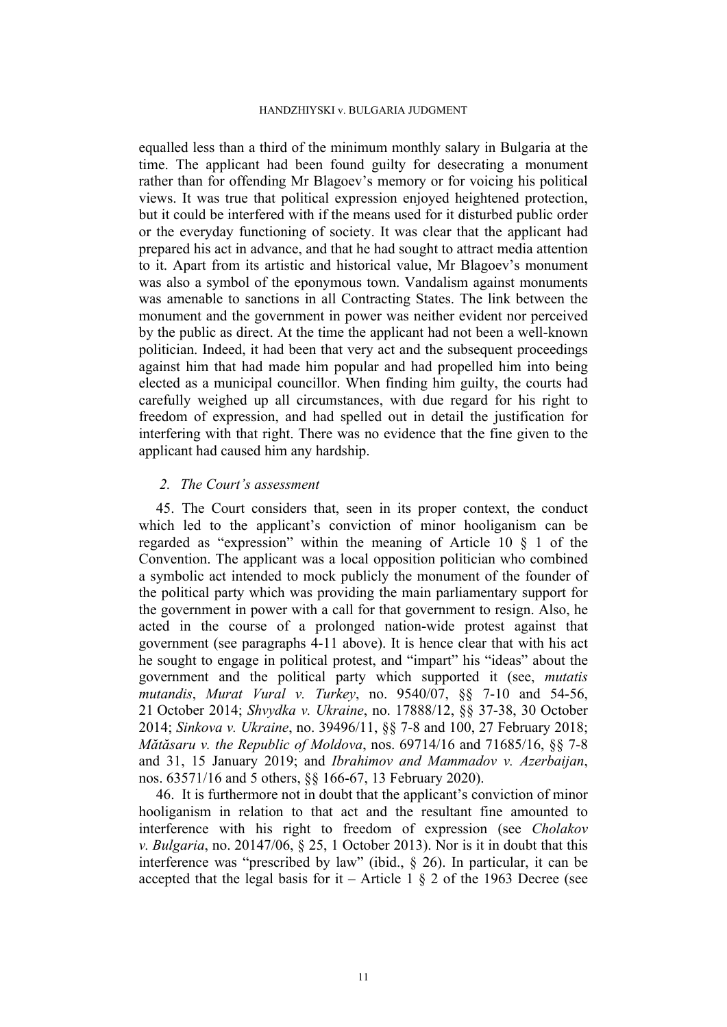equalled less than a third of the minimum monthly salary in Bulgaria at the time. The applicant had been found guilty for desecrating a monument rather than for offending Mr Blagoev's memory or for voicing his political views. It was true that political expression enjoyed heightened protection, but it could be interfered with if the means used for it disturbed public order or the everyday functioning of society. It was clear that the applicant had prepared his act in advance, and that he had sought to attract media attention to it. Apart from its artistic and historical value, Mr Blagoev's monument was also a symbol of the eponymous town. Vandalism against monuments was amenable to sanctions in all Contracting States. The link between the monument and the government in power was neither evident nor perceived by the public as direct. At the time the applicant had not been a well-known politician. Indeed, it had been that very act and the subsequent proceedings against him that had made him popular and had propelled him into being elected as a municipal councillor. When finding him guilty, the courts had carefully weighed up all circumstances, with due regard for his right to freedom of expression, and had spelled out in detail the justification for interfering with that right. There was no evidence that the fine given to the applicant had caused him any hardship.

## *2. The Court's assessment*

<span id="page-12-0"></span>45. The Court considers that, seen in its proper context, the conduct which led to the applicant's conviction of minor hooliganism can be regarded as "expression" within the meaning of Article 10 § 1 of the Convention. The applicant was a local opposition politician who combined a symbolic act intended to mock publicly the monument of the founder of the political party which was providing the main parliamentary support for the government in power with a call for that government to resign. Also, he acted in the course of a prolonged nation-wide protest against that government (see paragraphs [4-](#page-3-0)[11](#page-4-1) above). It is hence clear that with his act he sought to engage in political protest, and "impart" his "ideas" about the government and the political party which supported it (see, *mutatis mutandis*, *Murat Vural v. Turkey*, no. 9540/07, §§ 7-10 and 54-56, 21 October 2014; *Shvydka v. Ukraine*, no. 17888/12, §§ 37-38, 30 October 2014; *Sinkova v. Ukraine*, no. 39496/11, §§ 7-8 and 100, 27 February 2018; *Mătăsaru v. the Republic of Moldova*, nos. 69714/16 and 71685/16, §§ 7-8 and 31, 15 January 2019; and *Ibrahimov and Mammadov v. Azerbaijan*, nos. 63571/16 and 5 others, §§ 166-67, 13 February 2020).

46. It is furthermore not in doubt that the applicant's conviction of minor hooliganism in relation to that act and the resultant fine amounted to interference with his right to freedom of expression (see *Cholakov v. Bulgaria*, no. 20147/06, § 25, 1 October 2013). Nor is it in doubt that this interference was "prescribed by law" (ibid., § 26). In particular, it can be accepted that the legal basis for it – Article 1  $\S$  2 of the 1963 Decree (see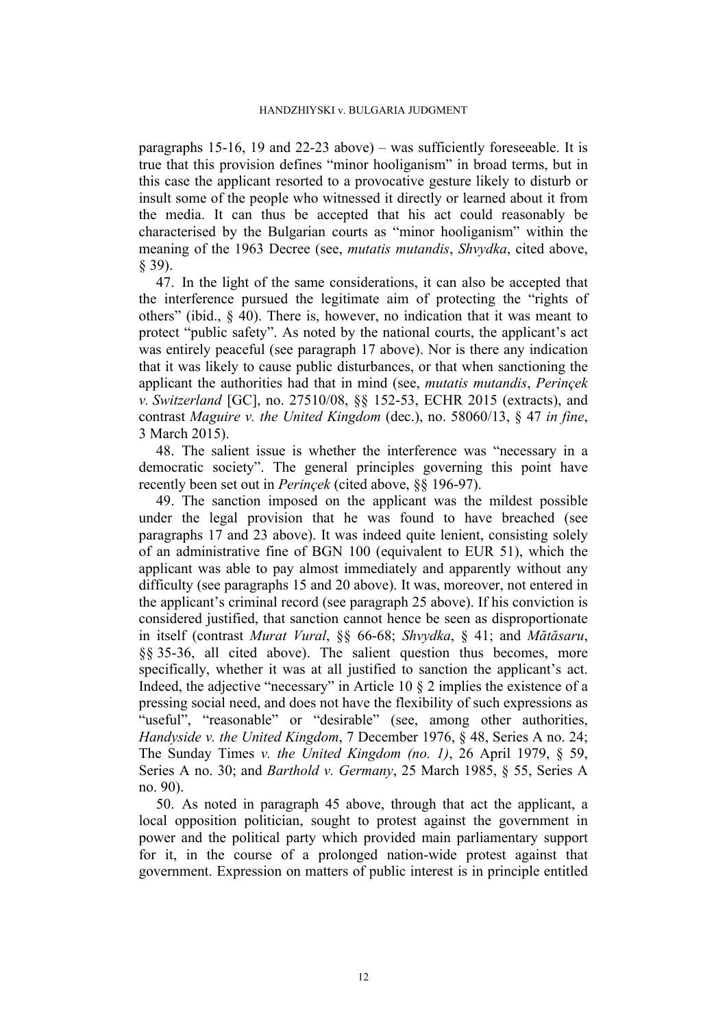paragraphs [15](#page-5-1)[-16](#page-5-4), [19](#page-5-3) and [22-](#page-6-1)[23](#page-6-0) above) – was sufficiently foreseeable. It is true that this provision defines "minor hooliganism" in broad terms, but in this case the applicant resorted to a provocative gesture likely to disturb or insult some of the people who witnessed it directly or learned about it from the media. It can thus be accepted that his act could reasonably be characterised by the Bulgarian courts as "minor hooliganism" within the meaning of the 1963 Decree (see, *mutatis mutandis*, *Shvydka*, cited above, § 39).

47. In the light of the same considerations, it can also be accepted that the interference pursued the legitimate aim of protecting the "rights of others" (ibid., § 40). There is, however, no indication that it was meant to protect "public safety". As noted by the national courts, the applicant's act was entirely peaceful (see paragraph [17](#page-5-2) above). Nor is there any indication that it was likely to cause public disturbances, or that when sanctioning the applicant the authorities had that in mind (see, *mutatis mutandis*, *Perinçek v. Switzerland* [GC], no. 27510/08, §§ 152-53, ECHR 2015 (extracts), and contrast *Maguire v. the United Kingdom* (dec.), no. 58060/13, § 47 *in fine*, 3 March 2015).

48. The salient issue is whether the interference was "necessary in a democratic society". The general principles governing this point have recently been set out in *Perinçek* (cited above, §§ 196-97).

49. The sanction imposed on the applicant was the mildest possible under the legal provision that he was found to have breached (see paragraphs [17](#page-5-2) and [23](#page-6-0) above). It was indeed quite lenient, consisting solely of an administrative fine of BGN 100 (equivalent to EUR 51), which the applicant was able to pay almost immediately and apparently without any difficulty (see paragraphs [15](#page-5-1) and [20](#page-6-3) above). It was, moreover, not entered in the applicant's criminal record (see paragraph [25](#page-7-0) above). If his conviction is considered justified, that sanction cannot hence be seen as disproportionate in itself (contrast *Murat Vural*, §§ 66-68; *Shvydka*, § 41; and *Mătăsaru*, §§ 35-36, all cited above). The salient question thus becomes, more specifically, whether it was at all justified to sanction the applicant's act. Indeed, the adjective "necessary" in Article 10 § 2 implies the existence of a pressing social need, and does not have the flexibility of such expressions as "useful", "reasonable" or "desirable" (see, among other authorities, *Handyside v. the United Kingdom*, 7 December 1976, § 48, Series A no. 24; The Sunday Times *v. the United Kingdom (no. 1)*, 26 April 1979, § 59, Series A no. 30; and *Barthold v. Germany*, 25 March 1985, § 55, Series A no. 90).

50. As noted in paragraph [45](#page-12-0) above, through that act the applicant, a local opposition politician, sought to protest against the government in power and the political party which provided main parliamentary support for it, in the course of a prolonged nation-wide protest against that government. Expression on matters of public interest is in principle entitled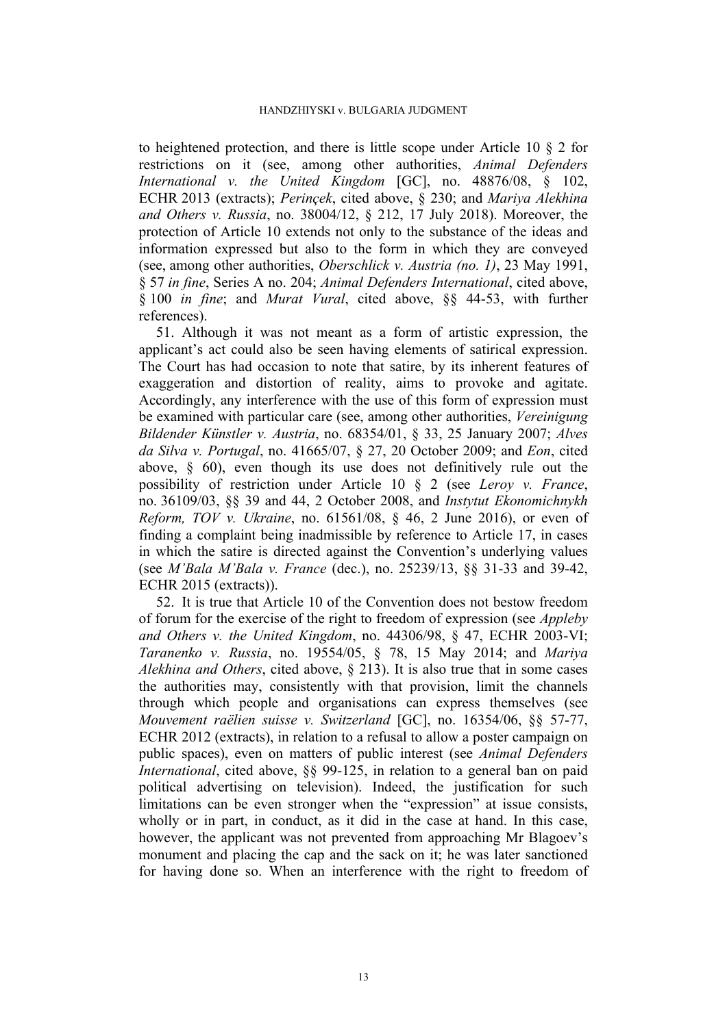to heightened protection, and there is little scope under Article 10 § 2 for restrictions on it (see, among other authorities, *Animal Defenders International v. the United Kingdom* [GC], no. 48876/08, § 102, ECHR 2013 (extracts); *Perinçek*, cited above, § 230; and *Mariya Alekhina and Others v. Russia*, no. 38004/12, § 212, 17 July 2018). Moreover, the protection of Article 10 extends not only to the substance of the ideas and information expressed but also to the form in which they are conveyed (see, among other authorities, *Oberschlick v. Austria (no. 1)*, 23 May 1991, § 57 *in fine*, Series A no. 204; *Animal Defenders International*, cited above, § 100 *in fine*; and *Murat Vural*, cited above, §§ 44-53, with further references).

51. Although it was not meant as a form of artistic expression, the applicant's act could also be seen having elements of satirical expression. The Court has had occasion to note that satire, by its inherent features of exaggeration and distortion of reality, aims to provoke and agitate. Accordingly, any interference with the use of this form of expression must be examined with particular care (see, among other authorities, *Vereinigung Bildender Künstler v. Austria*, no. 68354/01, § 33, 25 January 2007; *Alves da Silva v. Portugal*, no. 41665/07, § 27, 20 October 2009; and *Eon*, cited above, § 60), even though its use does not definitively rule out the possibility of restriction under Article 10 § 2 (see *Leroy v. France*, no. 36109/03, §§ 39 and 44, 2 October 2008, and *Instytut Ekonomichnykh Reform, TOV v. Ukraine*, no. 61561/08, § 46, 2 June 2016), or even of finding a complaint being inadmissible by reference to Article 17, in cases in which the satire is directed against the Convention's underlying values (see *M'Bala M'Bala v. France* (dec.), no. 25239/13, §§ 31-33 and 39-42, ECHR 2015 (extracts)).

52. It is true that Article 10 of the Convention does not bestow freedom of forum for the exercise of the right to freedom of expression (see *Appleby and Others v. the United Kingdom*, no. 44306/98, § 47, ECHR 2003-VI; *Taranenko v. Russia*, no. 19554/05, § 78, 15 May 2014; and *Mariya Alekhina and Others*, cited above, § 213). It is also true that in some cases the authorities may, consistently with that provision, limit the channels through which people and organisations can express themselves (see *Mouvement raëlien suisse v. Switzerland* [GC], no. 16354/06, §§ 57-77, ECHR 2012 (extracts), in relation to a refusal to allow a poster campaign on public spaces), even on matters of public interest (see *Animal Defenders International*, cited above, §§ 99-125, in relation to a general ban on paid political advertising on television). Indeed, the justification for such limitations can be even stronger when the "expression" at issue consists, wholly or in part, in conduct, as it did in the case at hand. In this case, however, the applicant was not prevented from approaching Mr Blagoev's monument and placing the cap and the sack on it; he was later sanctioned for having done so. When an interference with the right to freedom of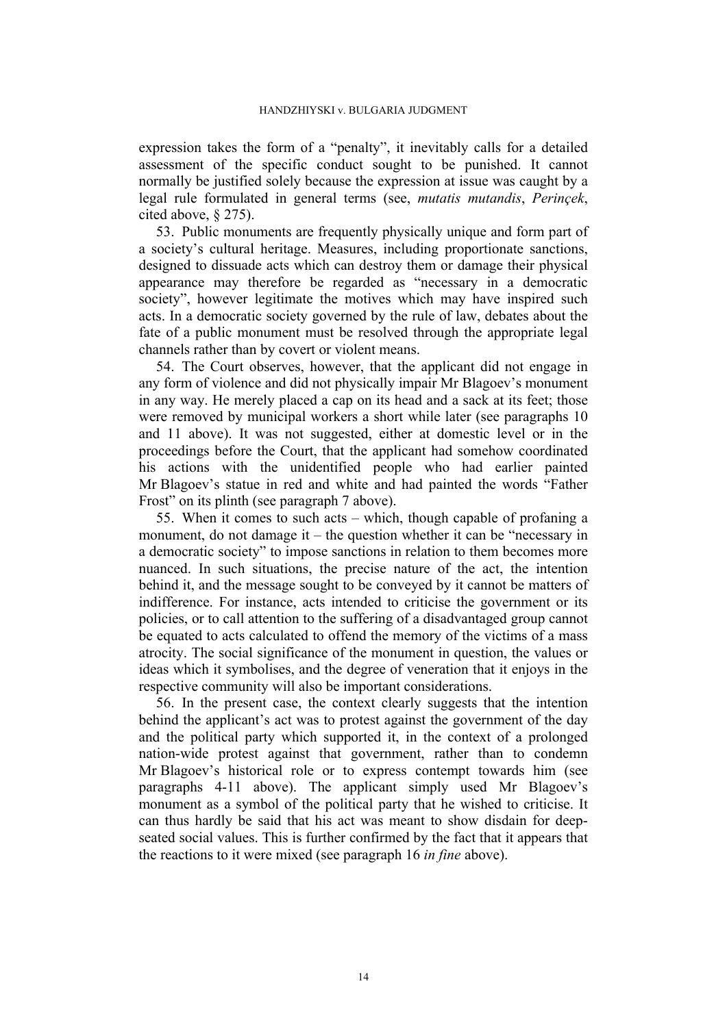expression takes the form of a "penalty", it inevitably calls for a detailed assessment of the specific conduct sought to be punished. It cannot normally be justified solely because the expression at issue was caught by a legal rule formulated in general terms (see, *mutatis mutandis*, *Perinçek*, cited above, § 275).

53. Public monuments are frequently physically unique and form part of a society's cultural heritage. Measures, including proportionate sanctions, designed to dissuade acts which can destroy them or damage their physical appearance may therefore be regarded as "necessary in a democratic society", however legitimate the motives which may have inspired such acts. In a democratic society governed by the rule of law, debates about the fate of a public monument must be resolved through the appropriate legal channels rather than by covert or violent means.

54. The Court observes, however, that the applicant did not engage in any form of violence and did not physically impair Mr Blagoev's monument in any way. He merely placed a cap on its head and a sack at its feet; those were removed by municipal workers a short while later (see paragraphs [10](#page-4-2) and [11](#page-4-1) above). It was not suggested, either at domestic level or in the proceedings before the Court, that the applicant had somehow coordinated his actions with the unidentified people who had earlier painted Mr Blagoev's statue in red and white and had painted the words "Father Frost" on its plinth (see paragraph [7](#page-3-1) above).

55. When it comes to such acts – which, though capable of profaning a monument, do not damage it – the question whether it can be "necessary in a democratic society" to impose sanctions in relation to them becomes more nuanced. In such situations, the precise nature of the act, the intention behind it, and the message sought to be conveyed by it cannot be matters of indifference. For instance, acts intended to criticise the government or its policies, or to call attention to the suffering of a disadvantaged group cannot be equated to acts calculated to offend the memory of the victims of a mass atrocity. The social significance of the monument in question, the values or ideas which it symbolises, and the degree of veneration that it enjoys in the respective community will also be important considerations.

56. In the present case, the context clearly suggests that the intention behind the applicant's act was to protest against the government of the day and the political party which supported it, in the context of a prolonged nation-wide protest against that government, rather than to condemn Mr Blagoev's historical role or to express contempt towards him (see paragraphs [4-](#page-3-0)[11](#page-4-1) above). The applicant simply used Mr Blagoev's monument as a symbol of the political party that he wished to criticise. It can thus hardly be said that his act was meant to show disdain for deepseated social values. This is further confirmed by the fact that it appears that the reactions to it were mixed (see paragraph [16](#page-5-4) *in fine* above).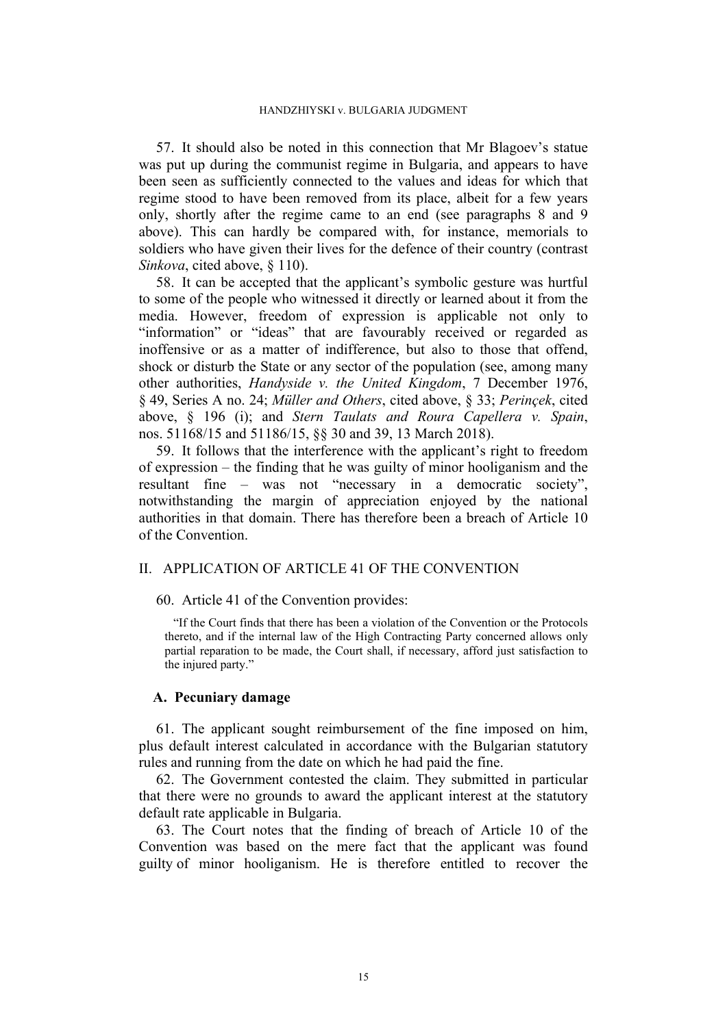57. It should also be noted in this connection that Mr Blagoev's statue was put up during the communist regime in Bulgaria, and appears to have been seen as sufficiently connected to the values and ideas for which that regime stood to have been removed from its place, albeit for a few years only, shortly after the regime came to an end (see paragraphs [8](#page-4-0) and [9](#page-4-3) above). This can hardly be compared with, for instance, memorials to soldiers who have given their lives for the defence of their country (contrast *Sinkova*, cited above, § 110).

58. It can be accepted that the applicant's symbolic gesture was hurtful to some of the people who witnessed it directly or learned about it from the media. However, freedom of expression is applicable not only to "information" or "ideas" that are favourably received or regarded as inoffensive or as a matter of indifference, but also to those that offend, shock or disturb the State or any sector of the population (see, among many other authorities, *Handyside v. the United Kingdom*, 7 December 1976, § 49, Series A no. 24; *Müller and Others*, cited above, § 33; *Perinçek*, cited above, § 196 (i); and *Stern Taulats and Roura Capellera v. Spain*, nos. 51168/15 and 51186/15, §§ 30 and 39, 13 March 2018).

59. It follows that the interference with the applicant's right to freedom of expression – the finding that he was guilty of minor hooliganism and the resultant fine – was not "necessary in a democratic society", notwithstanding the margin of appreciation enjoyed by the national authorities in that domain. There has therefore been a breach of Article 10 of the Convention.

# II. APPLICATION OF ARTICLE 41 OF THE CONVENTION

60. Article 41 of the Convention provides:

"If the Court finds that there has been a violation of the Convention or the Protocols thereto, and if the internal law of the High Contracting Party concerned allows only partial reparation to be made, the Court shall, if necessary, afford just satisfaction to the injured party."

### **A. Pecuniary damage**

61. The applicant sought reimbursement of the fine imposed on him, plus default interest calculated in accordance with the Bulgarian statutory rules and running from the date on which he had paid the fine.

62. The Government contested the claim. They submitted in particular that there were no grounds to award the applicant interest at the statutory default rate applicable in Bulgaria.

63. The Court notes that the finding of breach of Article 10 of the Convention was based on the mere fact that the applicant was found guilty of minor hooliganism. He is therefore entitled to recover the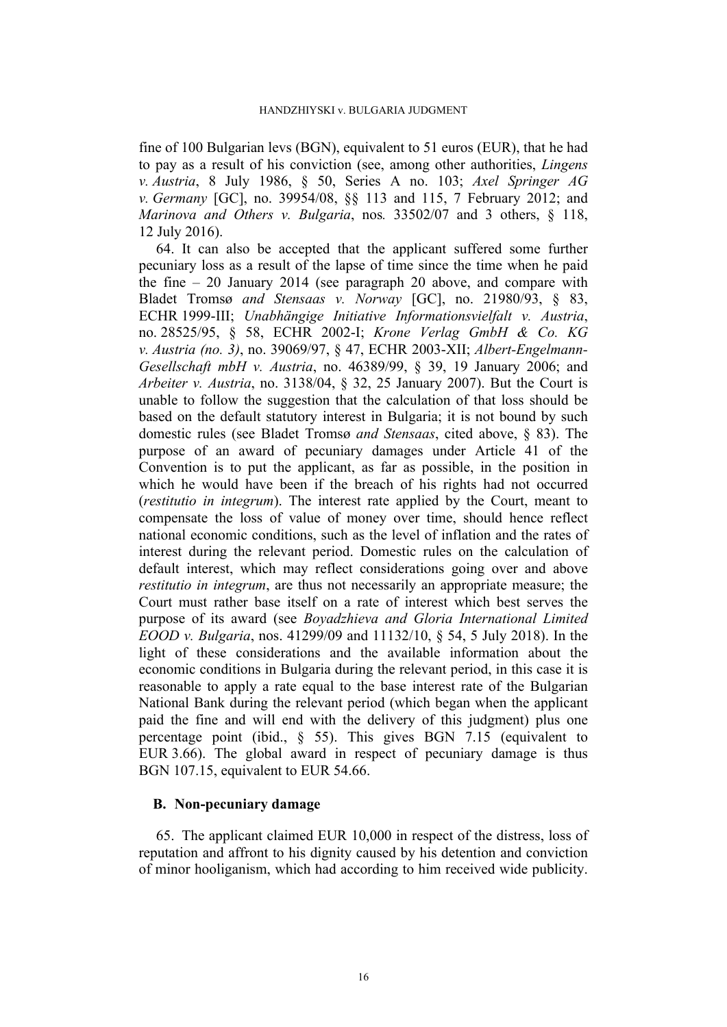fine of 100 Bulgarian levs (BGN), equivalent to 51 euros (EUR), that he had to pay as a result of his conviction (see, among other authorities, *Lingens v. Austria*, 8 July 1986, § 50, Series A no. 103; *Axel Springer AG v. Germany* [GC], no. 39954/08, §§ 113 and 115, 7 February 2012; and *Marinova and Others v. Bulgaria*, nos*.* 33502/07 and 3 others, § 118, 12 July 2016).

64. It can also be accepted that the applicant suffered some further pecuniary loss as a result of the lapse of time since the time when he paid the fine – 20 January 2014 (see paragraph [20](#page-6-3) above, and compare with Bladet Tromsø *and Stensaas v. Norway* [GC], no. 21980/93, § 83, ECHR 1999-III; *Unabhängige Initiative Informationsvielfalt v. Austria*, no. 28525/95, § 58, ECHR 2002-I; *Krone Verlag GmbH & Co. KG v. Austria (no. 3)*, no. 39069/97, § 47, ECHR 2003-XII; *Albert-Engelmann-Gesellschaft mbH v. Austria*, no. 46389/99, § 39, 19 January 2006; and *Arbeiter v. Austria*, no. 3138/04, § 32, 25 January 2007). But the Court is unable to follow the suggestion that the calculation of that loss should be based on the default statutory interest in Bulgaria; it is not bound by such domestic rules (see Bladet Tromsø *and Stensaas*, cited above, § 83). The purpose of an award of pecuniary damages under Article 41 of the Convention is to put the applicant, as far as possible, in the position in which he would have been if the breach of his rights had not occurred (*restitutio in integrum*). The interest rate applied by the Court, meant to compensate the loss of value of money over time, should hence reflect national economic conditions, such as the level of inflation and the rates of interest during the relevant period. Domestic rules on the calculation of default interest, which may reflect considerations going over and above *restitutio in integrum*, are thus not necessarily an appropriate measure; the Court must rather base itself on a rate of interest which best serves the purpose of its award (see *Boyadzhieva and Gloria International Limited EOOD v. Bulgaria*, nos. 41299/09 and 11132/10, § 54, 5 July 2018). In the light of these considerations and the available information about the economic conditions in Bulgaria during the relevant period, in this case it is reasonable to apply a rate equal to the base interest rate of the Bulgarian National Bank during the relevant period (which began when the applicant paid the fine and will end with the delivery of this judgment) plus one percentage point (ibid., § 55). This gives BGN 7.15 (equivalent to EUR 3.66). The global award in respect of pecuniary damage is thus BGN 107.15, equivalent to EUR 54.66.

# **B. Non-pecuniary damage**

65. The applicant claimed EUR 10,000 in respect of the distress, loss of reputation and affront to his dignity caused by his detention and conviction of minor hooliganism, which had according to him received wide publicity.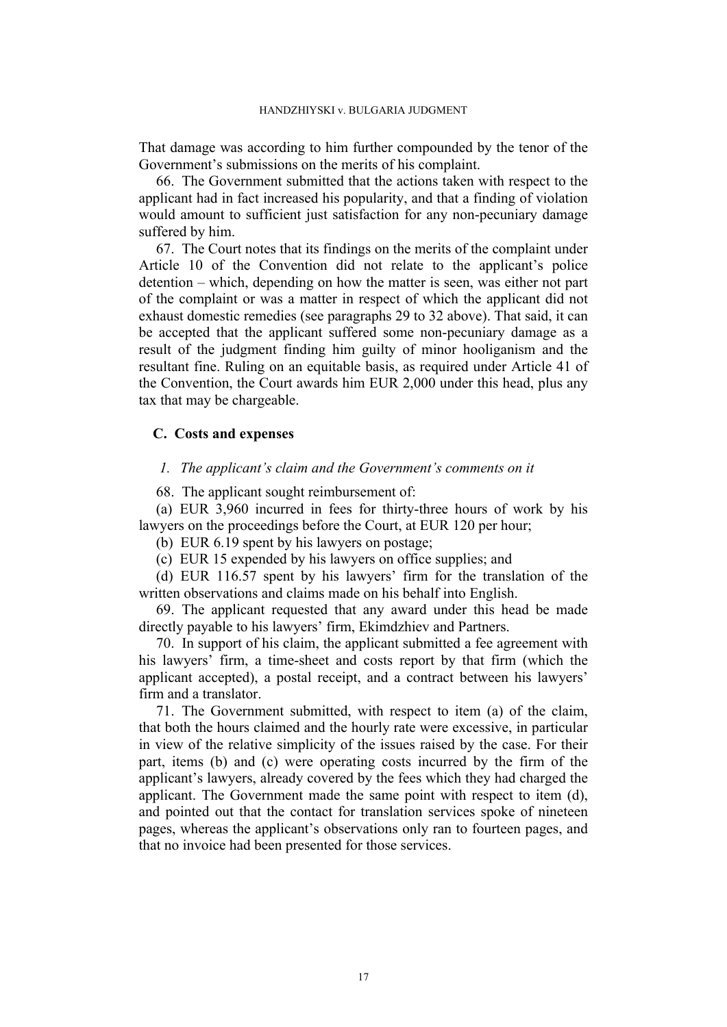That damage was according to him further compounded by the tenor of the Government's submissions on the merits of his complaint.

66. The Government submitted that the actions taken with respect to the applicant had in fact increased his popularity, and that a finding of violation would amount to sufficient just satisfaction for any non-pecuniary damage suffered by him.

67. The Court notes that its findings on the merits of the complaint under Article 10 of the Convention did not relate to the applicant's police detention – which, depending on how the matter is seen, was either not part of the complaint or was a matter in respect of which the applicant did not exhaust domestic remedies (see paragraphs [29](#page-8-0) to [32](#page-8-1) above). That said, it can be accepted that the applicant suffered some non-pecuniary damage as a result of the judgment finding him guilty of minor hooliganism and the resultant fine. Ruling on an equitable basis, as required under Article 41 of the Convention, the Court awards him EUR 2,000 under this head, plus any tax that may be chargeable.

# **C. Costs and expenses**

## *1. The applicant's claim and the Government's comments on it*

68. The applicant sought reimbursement of:

(a) EUR 3,960 incurred in fees for thirty-three hours of work by his lawyers on the proceedings before the Court, at EUR 120 per hour;

(b) EUR 6.19 spent by his lawyers on postage;

(c) EUR 15 expended by his lawyers on office supplies; and

(d) EUR 116.57 spent by his lawyers' firm for the translation of the written observations and claims made on his behalf into English.

69. The applicant requested that any award under this head be made directly payable to his lawyers' firm, Ekimdzhiev and Partners.

70. In support of his claim, the applicant submitted a fee agreement with his lawyers' firm, a time-sheet and costs report by that firm (which the applicant accepted), a postal receipt, and a contract between his lawyers' firm and a translator.

71. The Government submitted, with respect to item (a) of the claim, that both the hours claimed and the hourly rate were excessive, in particular in view of the relative simplicity of the issues raised by the case. For their part, items (b) and (c) were operating costs incurred by the firm of the applicant's lawyers, already covered by the fees which they had charged the applicant. The Government made the same point with respect to item (d), and pointed out that the contact for translation services spoke of nineteen pages, whereas the applicant's observations only ran to fourteen pages, and that no invoice had been presented for those services.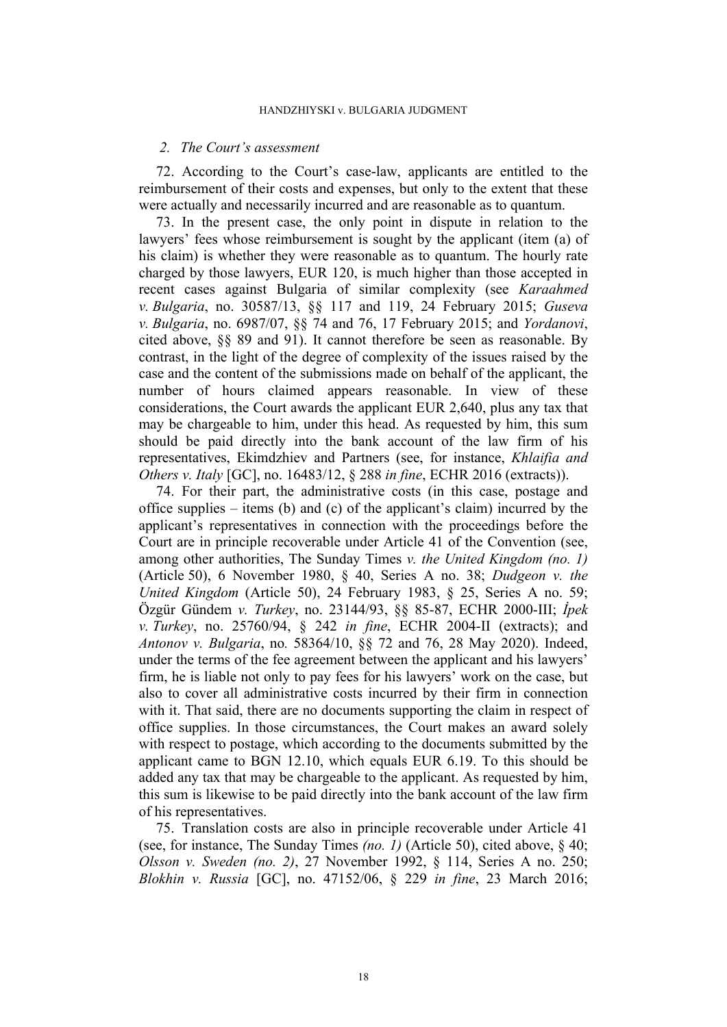#### *2. The Court's assessment*

72. According to the Court's case-law, applicants are entitled to the reimbursement of their costs and expenses, but only to the extent that these were actually and necessarily incurred and are reasonable as to quantum.

73. In the present case, the only point in dispute in relation to the lawyers' fees whose reimbursement is sought by the applicant (item (a) of his claim) is whether they were reasonable as to quantum. The hourly rate charged by those lawyers, EUR 120, is much higher than those accepted in recent cases against Bulgaria of similar complexity (see *Karaahmed v. Bulgaria*, no. 30587/13, §§ 117 and 119, 24 February 2015; *Guseva v. Bulgaria*, no. 6987/07, §§ 74 and 76, 17 February 2015; and *Yordanovi*, cited above, §§ 89 and 91). It cannot therefore be seen as reasonable. By contrast, in the light of the degree of complexity of the issues raised by the case and the content of the submissions made on behalf of the applicant, the number of hours claimed appears reasonable. In view of these considerations, the Court awards the applicant EUR 2,640, plus any tax that may be chargeable to him, under this head. As requested by him, this sum should be paid directly into the bank account of the law firm of his representatives, Ekimdzhiev and Partners (see, for instance, *Khlaifia and Others v. Italy* [GC], no. 16483/12, § 288 *in fine*, ECHR 2016 (extracts)).

74. For their part, the administrative costs (in this case, postage and office supplies – items (b) and (c) of the applicant's claim) incurred by the applicant's representatives in connection with the proceedings before the Court are in principle recoverable under Article 41 of the Convention (see, among other authorities, The Sunday Times *v. the United Kingdom (no. 1)* (Article 50), 6 November 1980, § 40, Series A no. 38; *Dudgeon v. the United Kingdom* (Article 50), 24 February 1983, § 25, Series A no. 59; Özgür Gündem *v. Turkey*, no. 23144/93, §§ 85-87, ECHR 2000-III; *İpek v. Turkey*, no. 25760/94, § 242 *in fine*, ECHR 2004-II (extracts); and *Antonov v. Bulgaria*, no*.* 58364/10, §§ 72 and 76, 28 May 2020). Indeed, under the terms of the fee agreement between the applicant and his lawyers' firm, he is liable not only to pay fees for his lawyers' work on the case, but also to cover all administrative costs incurred by their firm in connection with it. That said, there are no documents supporting the claim in respect of office supplies. In those circumstances, the Court makes an award solely with respect to postage, which according to the documents submitted by the applicant came to BGN 12.10, which equals EUR 6.19. To this should be added any tax that may be chargeable to the applicant. As requested by him, this sum is likewise to be paid directly into the bank account of the law firm of his representatives.

75. Translation costs are also in principle recoverable under Article 41 (see, for instance, The Sunday Times *(no. 1)* (Article 50), cited above, § 40; *Olsson v. Sweden (no. 2)*, 27 November 1992, § 114, Series A no. 250; *Blokhin v. Russia* [GC], no. 47152/06, § 229 *in fine*, 23 March 2016;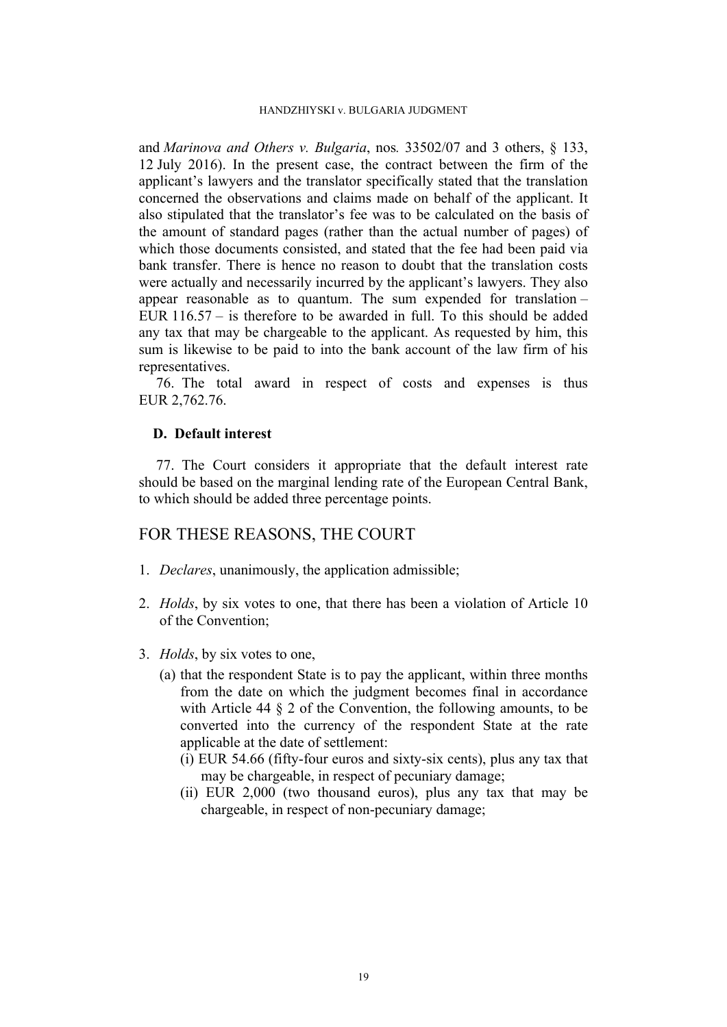and *Marinova and Others v. Bulgaria*, nos*.* 33502/07 and 3 others, § 133, 12 July 2016). In the present case, the contract between the firm of the applicant's lawyers and the translator specifically stated that the translation concerned the observations and claims made on behalf of the applicant. It also stipulated that the translator's fee was to be calculated on the basis of the amount of standard pages (rather than the actual number of pages) of which those documents consisted, and stated that the fee had been paid via bank transfer. There is hence no reason to doubt that the translation costs were actually and necessarily incurred by the applicant's lawyers. They also appear reasonable as to quantum. The sum expended for translation – EUR 116.57 – is therefore to be awarded in full. To this should be added any tax that may be chargeable to the applicant. As requested by him, this sum is likewise to be paid to into the bank account of the law firm of his representatives.

76. The total award in respect of costs and expenses is thus EUR 2,762.76.

# **D. Default interest**

77. The Court considers it appropriate that the default interest rate should be based on the marginal lending rate of the European Central Bank, to which should be added three percentage points.

# FOR THESE REASONS, THE COURT

- 1. *Declares*, unanimously, the application admissible;
- 2. *Holds*, by six votes to one, that there has been a violation of Article 10 of the Convention;
- 3. *Holds*, by six votes to one,
	- (a) that the respondent State is to pay the applicant, within three months from the date on which the judgment becomes final in accordance with Article 44  $\S$  2 of the Convention, the following amounts, to be converted into the currency of the respondent State at the rate applicable at the date of settlement:
		- (i) EUR 54.66 (fifty-four euros and sixty-six cents), plus any tax that may be chargeable, in respect of pecuniary damage;
		- (ii) EUR 2,000 (two thousand euros), plus any tax that may be chargeable, in respect of non-pecuniary damage;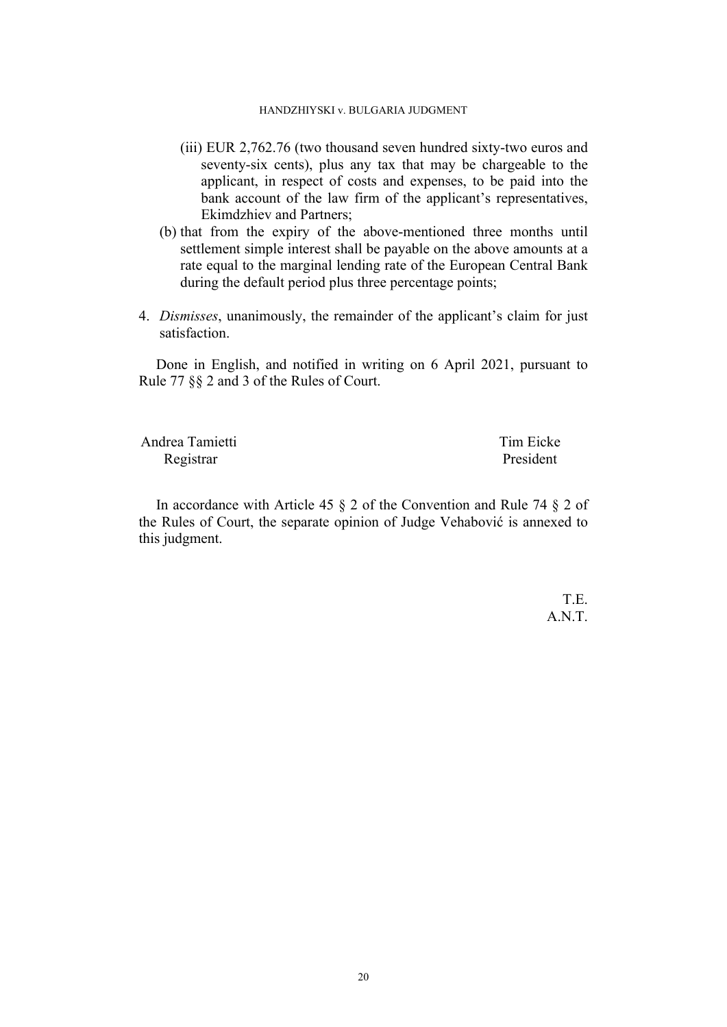- (iii) EUR 2,762.76 (two thousand seven hundred sixty-two euros and seventy-six cents), plus any tax that may be chargeable to the applicant, in respect of costs and expenses, to be paid into the bank account of the law firm of the applicant's representatives, Ekimdzhiev and Partners;
- (b) that from the expiry of the above-mentioned three months until settlement simple interest shall be payable on the above amounts at a rate equal to the marginal lending rate of the European Central Bank during the default period plus three percentage points;
- 4. *Dismisses*, unanimously, the remainder of the applicant's claim for just satisfaction.

Done in English, and notified in writing on 6 April 2021, pursuant to Rule 77 §§ 2 and 3 of the Rules of Court.

| Andrea Tamietti | Tim Eicke |
|-----------------|-----------|
| Registrar       | President |

In accordance with Article 45 § 2 of the Convention and Rule 74 § 2 of the Rules of Court, the separate opinion of Judge Vehabović is annexed to this judgment.

> T.E. A.N.T.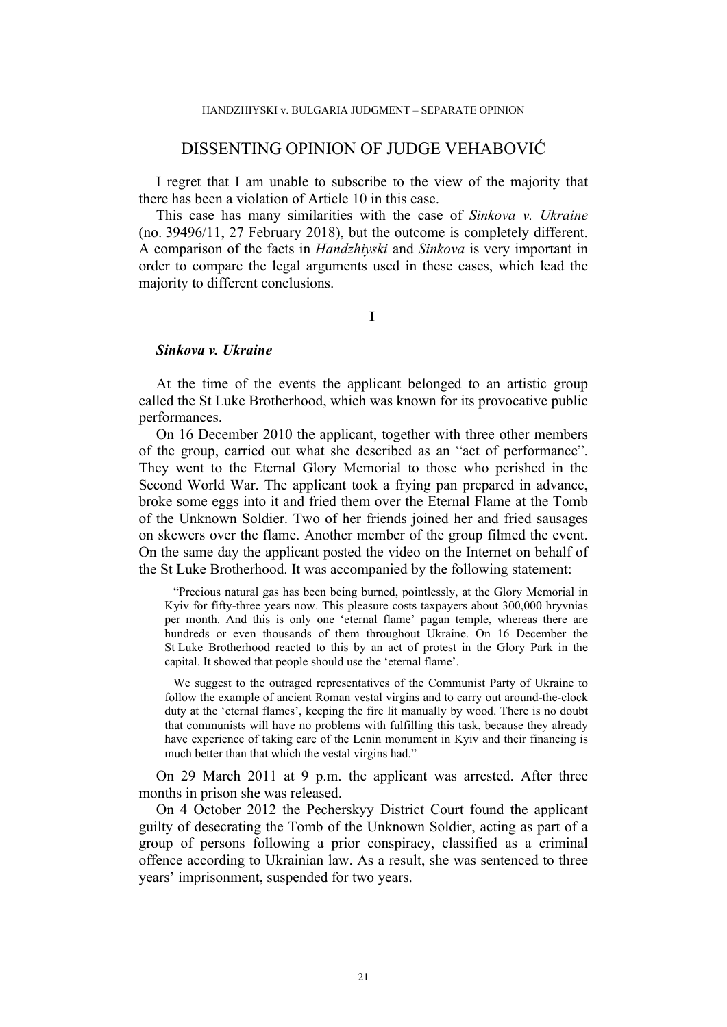# DISSENTING OPINION OF JUDGE VEHABOVIĆ

I regret that I am unable to subscribe to the view of the majority that there has been a violation of Article 10 in this case.

This case has many similarities with the case of *Sinkova v. Ukraine* (no. 39496/11, 27 February 2018), but the outcome is completely different. A comparison of the facts in *Handzhiyski* and *Sinkova* is very important in order to compare the legal arguments used in these cases, which lead the majority to different conclusions.

**I**

# *Sinkova v. Ukraine*

At the time of the events the applicant belonged to an artistic group called the St Luke Brotherhood, which was known for its provocative public performances.

On 16 December 2010 the applicant, together with three other members of the group, carried out what she described as an "act of performance". They went to the Eternal Glory Memorial to those who perished in the Second World War. The applicant took a frying pan prepared in advance, broke some eggs into it and fried them over the Eternal Flame at the Tomb of the Unknown Soldier. Two of her friends joined her and fried sausages on skewers over the flame. Another member of the group filmed the event. On the same day the applicant posted the video on the Internet on behalf of the St Luke Brotherhood. It was accompanied by the following statement:

"Precious natural gas has been being burned, pointlessly, at the Glory Memorial in Kyiv for fifty-three years now. This pleasure costs taxpayers about 300,000 hryvnias per month. And this is only one 'eternal flame' pagan temple, whereas there are hundreds or even thousands of them throughout Ukraine. On 16 December the St Luke Brotherhood reacted to this by an act of protest in the Glory Park in the capital. It showed that people should use the 'eternal flame'.

We suggest to the outraged representatives of the Communist Party of Ukraine to follow the example of ancient Roman vestal virgins and to carry out around-the-clock duty at the 'eternal flames', keeping the fire lit manually by wood. There is no doubt that communists will have no problems with fulfilling this task, because they already have experience of taking care of the Lenin monument in Kyiv and their financing is much better than that which the vestal virgins had."

On 29 March 2011 at 9 p.m. the applicant was arrested. After three months in prison she was released.

On 4 October 2012 the Pecherskyy District Court found the applicant guilty of desecrating the Tomb of the Unknown Soldier, acting as part of a group of persons following a prior conspiracy, classified as a criminal offence according to Ukrainian law. As a result, she was sentenced to three years' imprisonment, suspended for two years.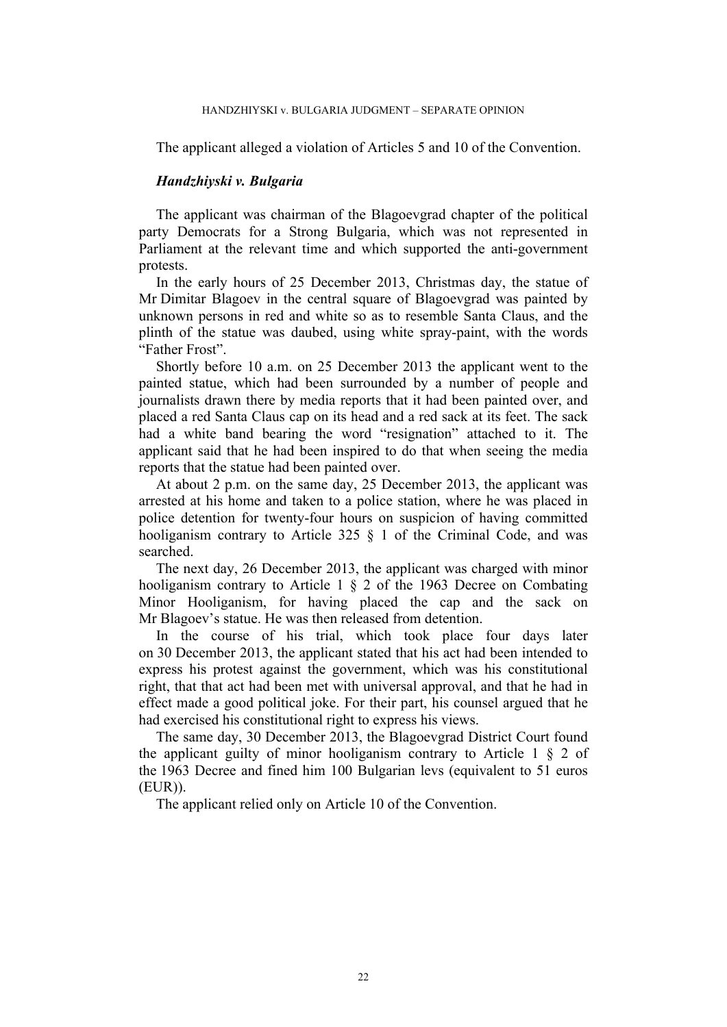#### HANDZHIYSKI v. BULGARIA JUDGMENT – SEPARATE OPINION

The applicant alleged a violation of Articles 5 and 10 of the Convention.

## *Handzhiyski v. Bulgaria*

The applicant was chairman of the Blagoevgrad chapter of the political party Democrats for a Strong Bulgaria, which was not represented in Parliament at the relevant time and which supported the anti-government protests.

In the early hours of 25 December 2013, Christmas day, the statue of Mr Dimitar Blagoev in the central square of Blagoevgrad was painted by unknown persons in red and white so as to resemble Santa Claus, and the plinth of the statue was daubed, using white spray-paint, with the words "Father Frost".

Shortly before 10 a.m. on 25 December 2013 the applicant went to the painted statue, which had been surrounded by a number of people and journalists drawn there by media reports that it had been painted over, and placed a red Santa Claus cap on its head and a red sack at its feet. The sack had a white band bearing the word "resignation" attached to it. The applicant said that he had been inspired to do that when seeing the media reports that the statue had been painted over.

At about 2 p.m. on the same day, 25 December 2013, the applicant was arrested at his home and taken to a police station, where he was placed in police detention for twenty-four hours on suspicion of having committed hooliganism contrary to Article 325  $\S$  1 of the Criminal Code, and was searched.

The next day, 26 December 2013, the applicant was charged with minor hooliganism contrary to Article 1 § 2 of the 1963 Decree on Combating Minor Hooliganism, for having placed the cap and the sack on Mr Blagoev's statue. He was then released from detention.

In the course of his trial, which took place four days later on 30 December 2013, the applicant stated that his act had been intended to express his protest against the government, which was his constitutional right, that that act had been met with universal approval, and that he had in effect made a good political joke. For their part, his counsel argued that he had exercised his constitutional right to express his views.

The same day, 30 December 2013, the Blagoevgrad District Court found the applicant guilty of minor hooliganism contrary to Article  $1 \S 2$  of the 1963 Decree and fined him 100 Bulgarian levs (equivalent to 51 euros (EUR)).

The applicant relied only on Article 10 of the Convention.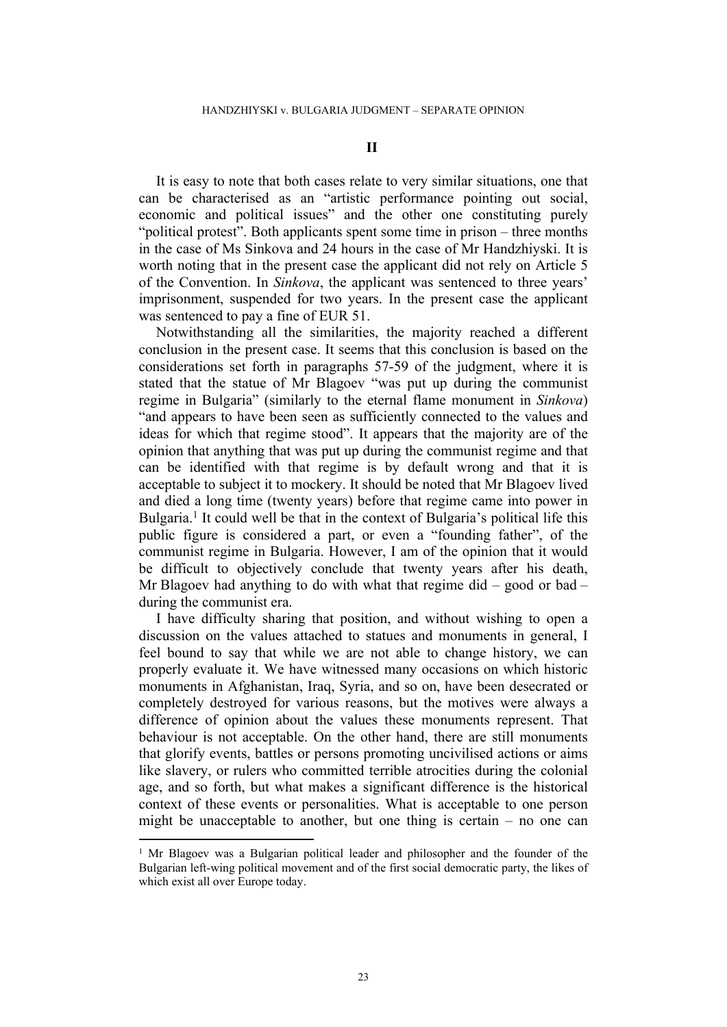It is easy to note that both cases relate to very similar situations, one that can be characterised as an "artistic performance pointing out social, economic and political issues" and the other one constituting purely "political protest". Both applicants spent some time in prison – three months in the case of Ms Sinkova and 24 hours in the case of Mr Handzhiyski. It is worth noting that in the present case the applicant did not rely on Article 5 of the Convention. In *Sinkova*, the applicant was sentenced to three years' imprisonment, suspended for two years. In the present case the applicant was sentenced to pay a fine of EUR 51.

Notwithstanding all the similarities, the majority reached a different conclusion in the present case. It seems that this conclusion is based on the considerations set forth in paragraphs 57-59 of the judgment, where it is stated that the statue of Mr Blagoev "was put up during the communist regime in Bulgaria" (similarly to the eternal flame monument in *Sinkova*) "and appears to have been seen as sufficiently connected to the values and ideas for which that regime stood". It appears that the majority are of the opinion that anything that was put up during the communist regime and that can be identified with that regime is by default wrong and that it is acceptable to subject it to mockery. It should be noted that Mr Blagoev lived and died a long time (twenty years) before that regime came into power in Bulgaria.<sup>1</sup> It could well be that in the context of Bulgaria's political life this public figure is considered a part, or even a "founding father", of the communist regime in Bulgaria. However, I am of the opinion that it would be difficult to objectively conclude that twenty years after his death, Mr Blagoev had anything to do with what that regime did – good or bad – during the communist era.

I have difficulty sharing that position, and without wishing to open a discussion on the values attached to statues and monuments in general, I feel bound to say that while we are not able to change history, we can properly evaluate it. We have witnessed many occasions on which historic monuments in Afghanistan, Iraq, Syria, and so on, have been desecrated or completely destroyed for various reasons, but the motives were always a difference of opinion about the values these monuments represent. That behaviour is not acceptable. On the other hand, there are still monuments that glorify events, battles or persons promoting uncivilised actions or aims like slavery, or rulers who committed terrible atrocities during the colonial age, and so forth, but what makes a significant difference is the historical context of these events or personalities. What is acceptable to one person might be unacceptable to another, but one thing is certain – no one can

<sup>&</sup>lt;sup>1</sup> Mr Blagoev was a Bulgarian political leader and philosopher and the founder of the Bulgarian left-wing political movement and of the first social democratic party, the likes of which exist all over Europe today.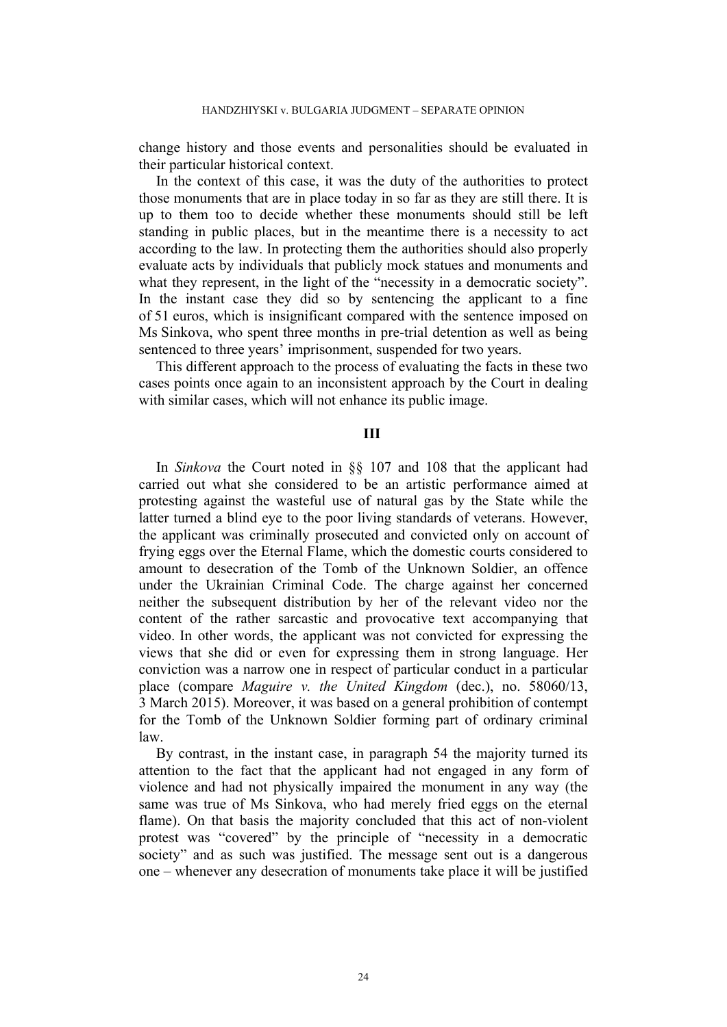change history and those events and personalities should be evaluated in their particular historical context.

In the context of this case, it was the duty of the authorities to protect those monuments that are in place today in so far as they are still there. It is up to them too to decide whether these monuments should still be left standing in public places, but in the meantime there is a necessity to act according to the law. In protecting them the authorities should also properly evaluate acts by individuals that publicly mock statues and monuments and what they represent, in the light of the "necessity in a democratic society". In the instant case they did so by sentencing the applicant to a fine of 51 euros, which is insignificant compared with the sentence imposed on Ms Sinkova, who spent three months in pre-trial detention as well as being sentenced to three years' imprisonment, suspended for two years.

This different approach to the process of evaluating the facts in these two cases points once again to an inconsistent approach by the Court in dealing with similar cases, which will not enhance its public image.

### **III**

In *Sinkova* the Court noted in §§ 107 and 108 that the applicant had carried out what she considered to be an artistic performance aimed at protesting against the wasteful use of natural gas by the State while the latter turned a blind eye to the poor living standards of veterans. However, the applicant was criminally prosecuted and convicted only on account of frying eggs over the Eternal Flame, which the domestic courts considered to amount to desecration of the Tomb of the Unknown Soldier, an offence under the Ukrainian Criminal Code. The charge against her concerned neither the subsequent distribution by her of the relevant video nor the content of the rather sarcastic and provocative text accompanying that video. In other words, the applicant was not convicted for expressing the views that she did or even for expressing them in strong language. Her conviction was a narrow one in respect of particular conduct in a particular place (compare *Maguire v. the United Kingdom* (dec.), no. 58060/13, 3 March 2015). Moreover, it was based on a general prohibition of contempt for the Tomb of the Unknown Soldier forming part of ordinary criminal law.

By contrast, in the instant case, in paragraph 54 the majority turned its attention to the fact that the applicant had not engaged in any form of violence and had not physically impaired the monument in any way (the same was true of Ms Sinkova, who had merely fried eggs on the eternal flame). On that basis the majority concluded that this act of non-violent protest was "covered" by the principle of "necessity in a democratic society" and as such was justified. The message sent out is a dangerous one – whenever any desecration of monuments take place it will be justified